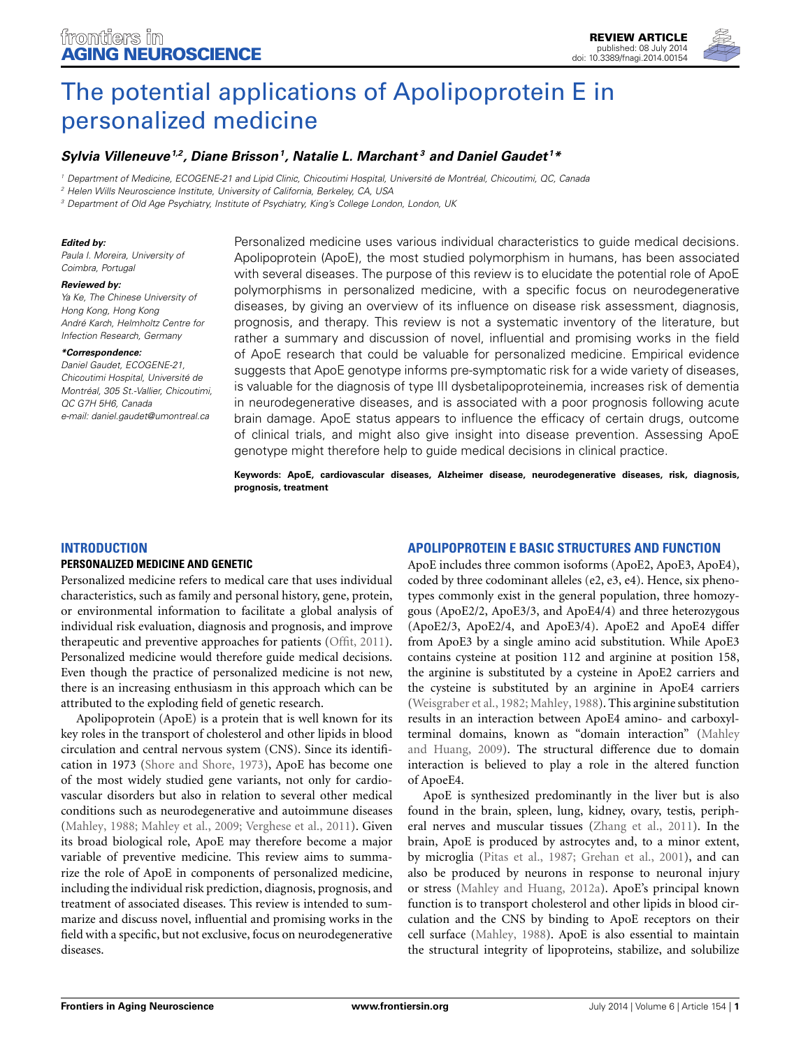

# *[Sylvia Villeneuve](http://community.frontiersin.org/people/u/119982)1,2, [Diane Brisson1](http://community.frontiersin.org/people/u/153266), [Natalie L. Marchant](http://community.frontiersin.org/people/u/170517) <sup>3</sup> and [Daniel Gaudet](http://community.frontiersin.org/people/u/112244) <sup>1</sup> \**

*<sup>1</sup> Department of Medicine, ECOGENE-21 and Lipid Clinic, Chicoutimi Hospital, Université de Montréal, Chicoutimi, QC, Canada*

*<sup>2</sup> Helen Wills Neuroscience Institute, University of California, Berkeley, CA, USA*

*<sup>3</sup> Department of Old Age Psychiatry, Institute of Psychiatry, King's College London, London, UK*

#### *Edited by:*

*Paula I. Moreira, University of Coimbra, Portugal*

#### *Reviewed by:*

*Ya Ke, The Chinese University of Hong Kong, Hong Kong André Karch, Helmholtz Centre for Infection Research, Germany*

#### *\*Correspondence:*

*Daniel Gaudet, ECOGENE-21, Chicoutimi Hospital, Université de Montréal, 305 St.-Vallier, Chicoutimi, QC G7H 5H6, Canada e-mail: [daniel.gaudet@umontreal.ca](mailto:daniel.gaudet@umontreal.ca)*

Personalized medicine uses various individual characteristics to guide medical decisions. Apolipoprotein (ApoE), the most studied polymorphism in humans, has been associated with several diseases. The purpose of this review is to elucidate the potential role of ApoE polymorphisms in personalized medicine, with a specific focus on neurodegenerative diseases, by giving an overview of its influence on disease risk assessment, diagnosis, prognosis, and therapy. This review is not a systematic inventory of the literature, but rather a summary and discussion of novel, influential and promising works in the field of ApoE research that could be valuable for personalized medicine. Empirical evidence suggests that ApoE genotype informs pre-symptomatic risk for a wide variety of diseases, is valuable for the diagnosis of type III dysbetalipoproteinemia, increases risk of dementia in neurodegenerative diseases, and is associated with a poor prognosis following acute brain damage. ApoE status appears to influence the efficacy of certain drugs, outcome of clinical trials, and might also give insight into disease prevention. Assessing ApoE genotype might therefore help to guide medical decisions in clinical practice.

**Keywords: ApoE, cardiovascular diseases, Alzheimer disease, neurodegenerative diseases, risk, diagnosis, prognosis, treatment**

### **INTRODUCTION**

#### **PERSONALIZED MEDICINE AND GENETIC**

Personalized medicine refers to medical care that uses individual characteristics, such as family and personal history, gene, protein, or environmental information to facilitate a global analysis of individual risk evaluation, diagnosis and prognosis, and improve therapeutic and preventive approaches for patients [\(Offit, 2011](#page-8-0)). Personalized medicine would therefore guide medical decisions. Even though the practice of personalized medicine is not new, there is an increasing enthusiasm in this approach which can be attributed to the exploding field of genetic research.

Apolipoprotein (ApoE) is a protein that is well known for its key roles in the transport of cholesterol and other lipids in blood circulation and central nervous system (CNS). Since its identification in 1973 [\(Shore and Shore](#page-9-0), [1973](#page-9-0)), ApoE has become one of the most widely studied gene variants, not only for cardiovascular disorders but also in relation to several other medical conditions such as neurodegenerative and autoimmune diseases [\(Mahley, 1988](#page-8-1); [Mahley et al., 2009;](#page-8-2) [Verghese et al., 2011\)](#page-9-1). Given its broad biological role, ApoE may therefore become a major variable of preventive medicine. This review aims to summarize the role of ApoE in components of personalized medicine, including the individual risk prediction, diagnosis, prognosis, and treatment of associated diseases. This review is intended to summarize and discuss novel, influential and promising works in the field with a specific, but not exclusive, focus on neurodegenerative diseases.

**APOLIPOPROTEIN E BASIC STRUCTURES AND FUNCTION**

ApoE includes three common isoforms (ApoE2, ApoE3, ApoE4), coded by three codominant alleles (e2, e3, e4). Hence, six phenotypes commonly exist in the general population, three homozygous (ApoE2/2, ApoE3/3, and ApoE4/4) and three heterozygous (ApoE2/3, ApoE2/4, and ApoE3/4). ApoE2 and ApoE4 differ from ApoE3 by a single amino acid substitution. While ApoE3 contains cysteine at position 112 and arginine at position 158, the arginine is substituted by a cysteine in ApoE2 carriers and the cysteine is substituted by an arginine in ApoE4 carriers [\(Weisgraber et al.](#page-9-2), [1982](#page-9-2); [Mahley, 1988\)](#page-8-1). This arginine substitution results in an interaction between ApoE4 amino- and carboxylterminal d[omains,](#page-8-3) [known](#page-8-3) [as](#page-8-3) ["domain](#page-8-3) [interaction"](#page-8-3) [\(](#page-8-3)Mahley and Huang, [2009\)](#page-8-3). The structural difference due to domain interaction is believed to play a role in the altered function of ApoeE4.

ApoE is synthesized predominantly in the liver but is also found in the brain, spleen, lung, kidney, ovary, testis, peripheral nerves and muscular tissues [\(Zhang et al.](#page-9-3), [2011](#page-9-3)). In the brain, ApoE is produced by astrocytes and, to a minor extent, by microglia [\(Pitas et al., 1987;](#page-8-4) [Grehan et al.](#page-7-0), [2001\)](#page-7-0), and can also be produced by neurons in response to neuronal injury or stress [\(Mahley and Huang](#page-8-5), [2012a](#page-8-5)). ApoE's principal known function is to transport cholesterol and other lipids in blood circulation and the CNS by binding to ApoE receptors on their cell surface [\(Mahley, 1988\)](#page-8-1). ApoE is also essential to maintain the structural integrity of lipoproteins, stabilize, and solubilize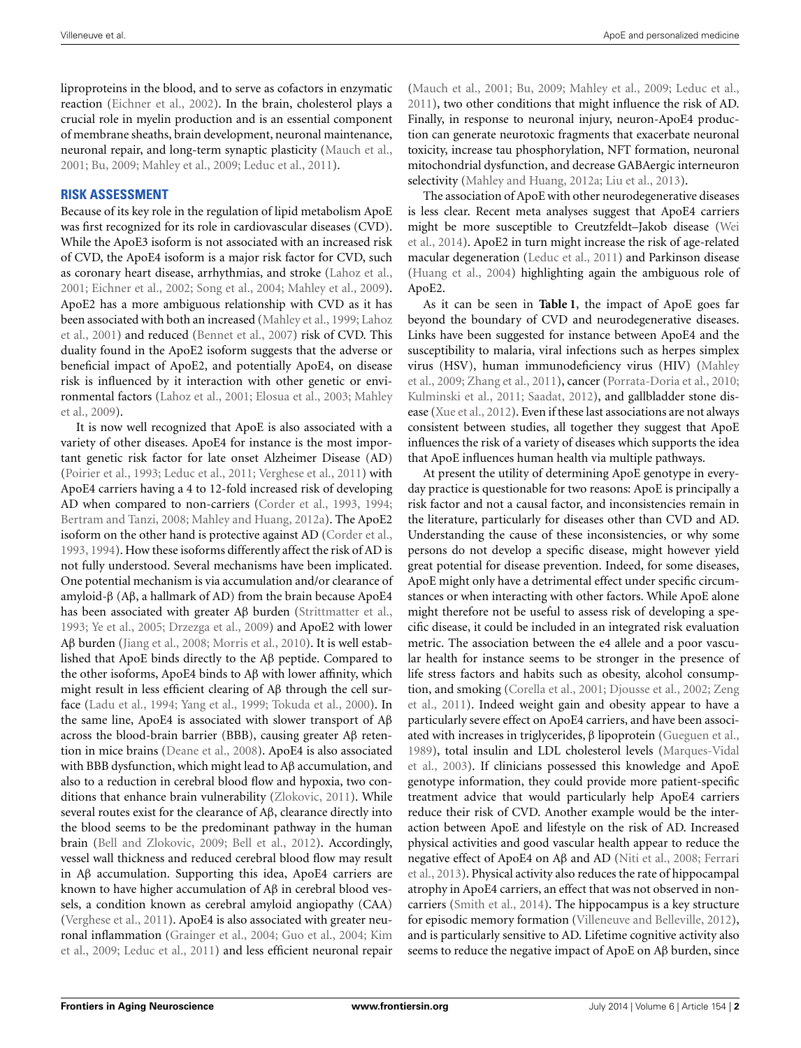liproproteins in the blood, and to serve as cofactors in enzymatic reaction [\(Eichner et al., 2002\)](#page-7-1). In the brain, cholesterol plays a crucial role in myelin production and is an essential component of membrane sheaths, brain development, neuronal maintenance, neuronal repair, and long-term synaptic plasticity [\(Mauch et al.](#page-8-6), [2001](#page-8-6); [Bu, 2009](#page-6-0); [Mahley et al.](#page-8-2), [2009;](#page-8-2) [Leduc et al.](#page-8-7), [2011](#page-8-7)).

## **RISK ASSESSMENT**

Because of its key role in the regulation of lipid metabolism ApoE was first recognized for its role in cardiovascular diseases (CVD). While the ApoE3 isoform is not associated with an increased risk of CVD, the ApoE4 isoform is a major risk factor for CVD, such as coronary heart disease, arrhythmias, and stroke [\(Lahoz et al.](#page-8-8), [2001](#page-8-8); [Eichner et al.](#page-7-1), [2002](#page-7-1); [Song et al.](#page-9-4), [2004](#page-9-4); [Mahley et al., 2009](#page-8-2)). ApoE2 has a more ambiguous relationship with CVD as it has been [associated with both an increased](#page-8-8) [\(Mahley et al., 1999](#page-8-9)[;](#page-8-8) Lahoz et al., [2001\)](#page-8-8) and reduced [\(Bennet et al., 2007\)](#page-6-1) risk of CVD. This duality found in the ApoE2 isoform suggests that the adverse or beneficial impact of ApoE2, and potentially ApoE4, on disease risk is influenced by it interaction with other genetic or environ[mental factors](#page-8-2) [\(Lahoz et al., 2001](#page-8-8)[;](#page-8-2) [Elosua et al.](#page-7-2)[,](#page-8-2) [2003](#page-7-2)[;](#page-8-2) Mahley et al., [2009\)](#page-8-2).

It is now well recognized that ApoE is also associated with a variety of other diseases. ApoE4 for instance is the most important genetic risk factor for late onset Alzheimer Disease (AD) [\(Poirier et al., 1993](#page-8-10); [Leduc et al.](#page-8-7), [2011;](#page-8-7) [Verghese et al.](#page-9-1), [2011\)](#page-9-1) with ApoE4 carriers having a 4 to 12-fold increased risk of developing AD when compared to non-carriers [\(Corder et al., 1993,](#page-6-2) [1994;](#page-6-3) [Bertram and Tanzi, 2008](#page-6-4); [Mahley and Huang, 2012a](#page-8-5)). The ApoE2 isoform on the other hand is protective against AD [\(Corder et al.](#page-6-2), [1993](#page-6-2), [1994\)](#page-6-3). How these isoforms differently affect the risk of AD is not fully understood. Several mechanisms have been implicated. One potential mechanism is via accumulation and/or clearance of amyloid-β (Aβ, a hallmark of AD) from the brain because ApoE4 has been associated with greater Aβ burden [\(Strittmatter et al.](#page-9-5), [1993](#page-9-5); [Ye et al., 2005;](#page-9-6) [Drzezga et al., 2009\)](#page-7-3) and ApoE2 with lower Aβ burden [\(Jiang et al., 2008;](#page-7-4) [Morris et al., 2010](#page-8-11)). It is well established that ApoE binds directly to the Aβ peptide. Compared to the other isoforms, ApoE4 binds to Aβ with lower affinity, which might result in less efficient clearing of Aβ through the cell surface [\(Ladu et al., 1994;](#page-8-12) [Yang et al.](#page-9-7), [1999](#page-9-7); [Tokuda et al., 2000](#page-9-8)). In the same line, ApoE4 is associated with slower transport of Aβ across the blood-brain barrier (BBB), causing greater Aβ retention in mice brains [\(Deane et al.](#page-7-5), [2008](#page-7-5)). ApoE4 is also associated with BBB dysfunction, which might lead to Aβ accumulation, and also to a reduction in cerebral blood flow and hypoxia, two conditions that enhance brain vulnerability [\(Zlokovic](#page-10-0), [2011\)](#page-10-0). While several routes exist for the clearance of Aβ, clearance directly into the blood seems to be the predominant pathway in the human brain [\(Bell and Zlokovic](#page-6-5), [2009;](#page-6-5) [Bell et al., 2012\)](#page-6-6). Accordingly, vessel wall thickness and reduced cerebral blood flow may result in Aβ accumulation. Supporting this idea, ApoE4 carriers are known to have higher accumulation of Aβ in cerebral blood vessels, a condition known as cerebral amyloid angiopathy (CAA) [\(Verghese et al.](#page-9-1), [2011](#page-9-1)). ApoE4 is also associated with greater neurona[l inflammation](#page-7-8) [\(Grainger et al.](#page-7-6)[,](#page-7-8) [2004;](#page-7-6) [Guo et al.](#page-7-7)[,](#page-7-8) [2004](#page-7-7)[;](#page-7-8) Kim et al., [2009;](#page-7-8) [Leduc et al.](#page-8-7), [2011\)](#page-8-7) and less efficient neuronal repair

[\(Mauch et al.](#page-8-6), [2001;](#page-8-6) [Bu, 2009](#page-6-0); [Mahley et al., 2009](#page-8-2); [Leduc et al.](#page-8-7), [2011](#page-8-7)), two other conditions that might influence the risk of AD. Finally, in response to neuronal injury, neuron-ApoE4 production can generate neurotoxic fragments that exacerbate neuronal toxicity, increase tau phosphorylation, NFT formation, neuronal mitochondrial dysfunction, and decrease GABAergic interneuron selectivity [\(Mahley and Huang](#page-8-5), [2012a;](#page-8-5) [Liu et al.](#page-8-13), [2013\)](#page-8-13).

The association of ApoE with other neurodegenerative diseases is less clear. Recent meta analyses suggest that ApoE4 carriers mig[ht be more susceptible to Creutzfeldt–Jakob disease \(](#page-9-9)Wei et al., [2014](#page-9-9)). ApoE2 in turn might increase the risk of age-related macular degeneration [\(Leduc et al.](#page-8-7), [2011](#page-8-7)) and Parkinson disease [\(Huang et al., 2004](#page-7-9)) highlighting again the ambiguous role of ApoE2.

As it can be seen in **[Table 1](#page-2-0)**, the impact of ApoE goes far beyond the boundary of CVD and neurodegenerative diseases. Links have been suggested for instance between ApoE4 and the susceptibility to malaria, viral infections such as herpes simplex viru[s \(HSV\), human immunodeficiency virus \(HIV\) \(](#page-8-2)Mahley et al., [2009](#page-8-2); [Zhang et al.](#page-9-3), [2011\)](#page-9-3), cancer [\(Porrata-Doria et al.](#page-8-14), [2010](#page-8-14); [Kulminski et al.](#page-7-10), [2011](#page-7-10); [Saadat, 2012](#page-9-10)), and gallbladder stone disease [\(Xue et al., 2012](#page-9-11)). Even if these last associations are not always consistent between studies, all together they suggest that ApoE influences the risk of a variety of diseases which supports the idea that ApoE influences human health via multiple pathways.

At present the utility of determining ApoE genotype in everyday practice is questionable for two reasons: ApoE is principally a risk factor and not a causal factor, and inconsistencies remain in the literature, particularly for diseases other than CVD and AD. Understanding the cause of these inconsistencies, or why some persons do not develop a specific disease, might however yield great potential for disease prevention. Indeed, for some diseases, ApoE might only have a detrimental effect under specific circumstances or when interacting with other factors. While ApoE alone might therefore not be useful to assess risk of developing a specific disease, it could be included in an integrated risk evaluation metric. The association between the e4 allele and a poor vascular health for instance seems to be stronger in the presence of life stress factors and habits such as obesity, alcohol consumption, [and smoking](#page-9-12) [\(Corella et al.](#page-7-11)[,](#page-9-12) [2001;](#page-7-11) [Djousse et al.](#page-7-12)[,](#page-9-12) [2002](#page-7-12)[;](#page-9-12) Zeng et al., [2011\)](#page-9-12). Indeed weight gain and obesity appear to have a particularly severe effect on ApoE4 carriers, and have been associated with increases in triglycerides, β lipoprotein [\(Gueguen et al.](#page-7-13), [1989](#page-7-13)[\), total insulin and LDL cholesterol levels \(](#page-8-15)Marques-Vidal et al., [2003](#page-8-15)). If clinicians possessed this knowledge and ApoE genotype information, they could provide more patient-specific treatment advice that would particularly help ApoE4 carriers reduce their risk of CVD. Another example would be the interaction between ApoE and lifestyle on the risk of AD. Increased physical activities and good vascular health appear to reduce the negative effect of ApoE4 on Aβ [and AD](#page-7-14) [\(Niti et al.](#page-8-16)[,](#page-7-14) [2008](#page-8-16)[;](#page-7-14) Ferrari et al., [2013](#page-7-14)). Physical activity also reduces the rate of hippocampal atrophy in ApoE4 carriers, an effect that was not observed in noncarriers [\(Smith et al.](#page-9-13), [2014\)](#page-9-13). The hippocampus is a key structure for episodic memory formation [\(Villeneuve and Belleville](#page-9-14), [2012\)](#page-9-14), and is particularly sensitive to AD. Lifetime cognitive activity also seems to reduce the negative impact of ApoE on Aβ burden, since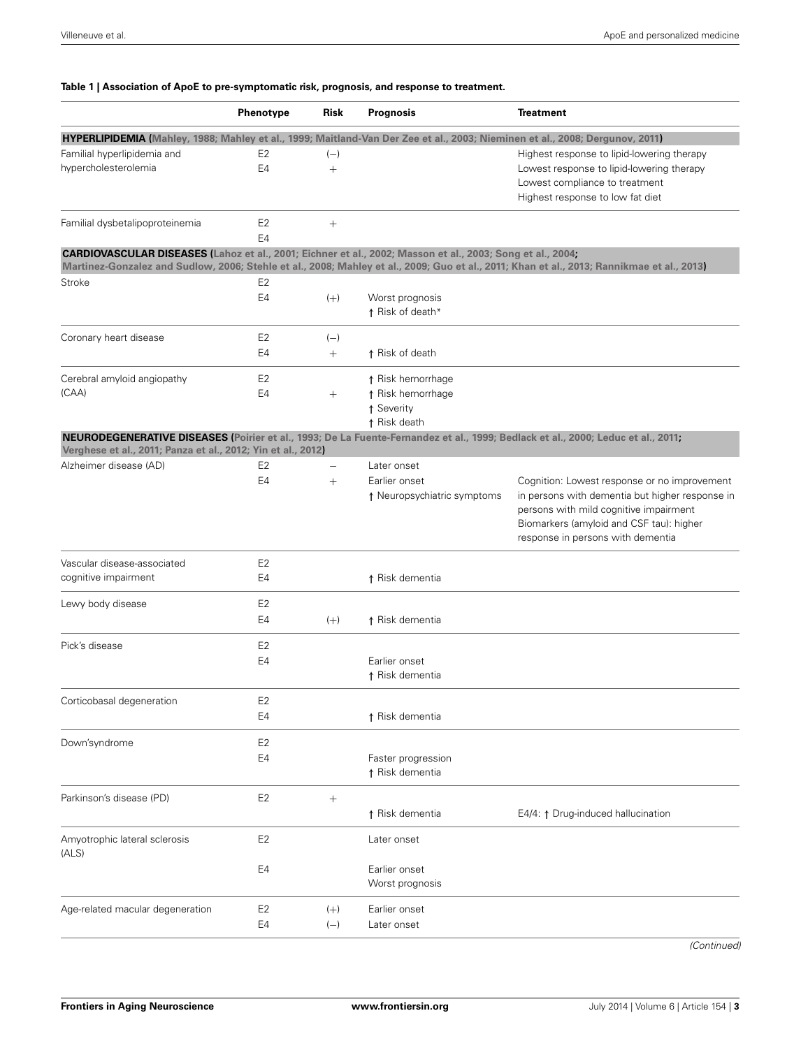### <span id="page-2-0"></span>**Table 1 | Association of ApoE to pre-symptomatic risk, prognosis, and response to treatment.**

|                                                                                                                              | Phenotype                        | Risk            | Prognosis                                    | <b>Treatment</b>                                                                                                                                                                                                           |
|------------------------------------------------------------------------------------------------------------------------------|----------------------------------|-----------------|----------------------------------------------|----------------------------------------------------------------------------------------------------------------------------------------------------------------------------------------------------------------------------|
| HYPERLIPIDEMIA (Mahley, 1988; Mahley et al., 1999; Maitland-Van Der Zee et al., 2003; Nieminen et al., 2008; Dergunov, 2011) |                                  |                 |                                              |                                                                                                                                                                                                                            |
| Familial hyperlipidemia and<br>hypercholesterolemia                                                                          | E <sub>2</sub><br>E <sub>4</sub> | $(-)$<br>$^{+}$ |                                              | Highest response to lipid-lowering therapy<br>Lowest response to lipid-lowering therapy<br>Lowest compliance to treatment<br>Highest response to low fat diet                                                              |
| Familial dysbetalipoproteinemia                                                                                              | E <sub>2</sub>                   | $^+$            |                                              |                                                                                                                                                                                                                            |
| CARDIOVASCULAR DISEASES (Lahoz et al., 2001; Eichner et al., 2002; Masson et al., 2003; Song et al., 2004;                   | E <sub>4</sub>                   |                 |                                              |                                                                                                                                                                                                                            |
|                                                                                                                              |                                  |                 |                                              | Martinez-Gonzalez and Sudlow, 2006; Stehle et al., 2008; Mahley et al., 2009; Guo et al., 2011; Khan et al., 2013; Rannikmae et al., 2013)                                                                                 |
| Stroke                                                                                                                       | E2                               |                 |                                              |                                                                                                                                                                                                                            |
|                                                                                                                              | E4                               | $(+)$           | Worst prognosis<br>↑ Risk of death*          |                                                                                                                                                                                                                            |
| Coronary heart disease                                                                                                       | E <sub>2</sub>                   | $(-)$           |                                              |                                                                                                                                                                                                                            |
|                                                                                                                              | E4                               | $^{+}$          | ↑ Risk of death                              |                                                                                                                                                                                                                            |
| Cerebral amyloid angiopathy                                                                                                  | E2                               |                 | ↑ Risk hemorrhage                            |                                                                                                                                                                                                                            |
| (CAA)                                                                                                                        | E4                               | $^{+}$          | ↑ Risk hemorrhage                            |                                                                                                                                                                                                                            |
|                                                                                                                              |                                  |                 | ↑ Severity<br>↑ Risk death                   |                                                                                                                                                                                                                            |
| Verghese et al., 2011; Panza et al., 2012; Yin et al., 2012)                                                                 |                                  |                 |                                              | NEURODEGENERATIVE DISEASES (Poirier et al., 1993; De La Fuente-Fernandez et al., 1999; Bedlack et al., 2000; Leduc et al., 2011;                                                                                           |
| Alzheimer disease (AD)                                                                                                       | E2                               |                 | Later onset                                  |                                                                                                                                                                                                                            |
|                                                                                                                              | E4                               | $^{+}$          | Earlier onset<br>↑ Neuropsychiatric symptoms | Cognition: Lowest response or no improvement<br>in persons with dementia but higher response in<br>persons with mild cognitive impairment<br>Biomarkers (amyloid and CSF tau): higher<br>response in persons with dementia |
| Vascular disease-associated                                                                                                  | E <sub>2</sub>                   |                 |                                              |                                                                                                                                                                                                                            |
| cognitive impairment                                                                                                         | E4                               |                 | ↑ Risk dementia                              |                                                                                                                                                                                                                            |
| Lewy body disease                                                                                                            | E <sub>2</sub>                   |                 |                                              |                                                                                                                                                                                                                            |
|                                                                                                                              | E4                               | $(+)$           | ↑ Risk dementia                              |                                                                                                                                                                                                                            |
| Pick's disease                                                                                                               | E2                               |                 |                                              |                                                                                                                                                                                                                            |
|                                                                                                                              | E4                               |                 | Earlier onset                                |                                                                                                                                                                                                                            |
|                                                                                                                              |                                  |                 | ↑ Risk dementia                              |                                                                                                                                                                                                                            |
| Corticobasal degeneration                                                                                                    | E <sub>2</sub>                   |                 |                                              |                                                                                                                                                                                                                            |
|                                                                                                                              | E4                               |                 | ↑ Risk dementia                              |                                                                                                                                                                                                                            |
| Down'syndrome                                                                                                                | E <sub>2</sub>                   |                 |                                              |                                                                                                                                                                                                                            |
|                                                                                                                              | E4                               |                 | Faster progression<br>↑ Risk dementia        |                                                                                                                                                                                                                            |
| Parkinson's disease (PD)                                                                                                     | E <sub>2</sub>                   | $^{+}$          |                                              |                                                                                                                                                                                                                            |
|                                                                                                                              |                                  |                 | ↑ Risk dementia                              | E4/4: ↑ Drug-induced hallucination                                                                                                                                                                                         |
| Amyotrophic lateral sclerosis<br>(ALS)                                                                                       | E <sub>2</sub>                   |                 | Later onset                                  |                                                                                                                                                                                                                            |
|                                                                                                                              | E4                               |                 | Earlier onset<br>Worst prognosis             |                                                                                                                                                                                                                            |
| Age-related macular degeneration                                                                                             | E2                               | $(+)$           | Earlier onset                                |                                                                                                                                                                                                                            |
|                                                                                                                              | E4                               | $(-)$           | Later onset                                  |                                                                                                                                                                                                                            |

*(Continued)*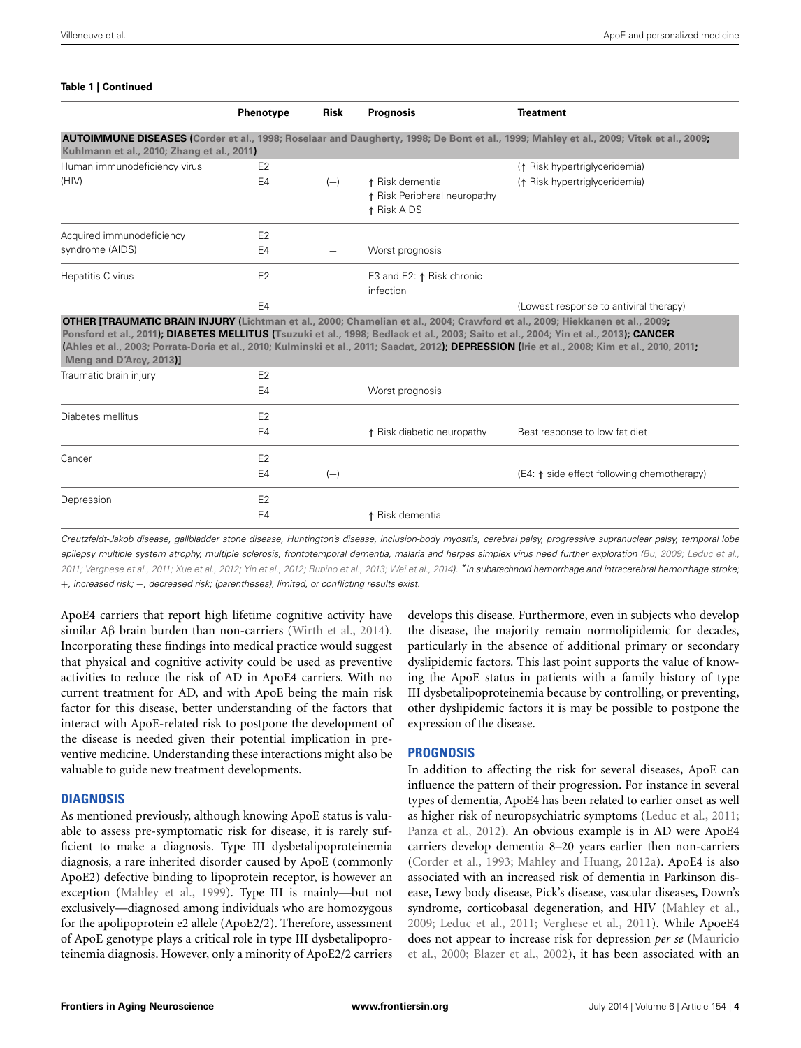#### **Table 1 | Continued**

|                                            | Phenotype      | <b>Risk</b> | <b>Prognosis</b>                                               | <b>Treatment</b>                                                                                                                                                                                                                                                                                                                                                                                                              |
|--------------------------------------------|----------------|-------------|----------------------------------------------------------------|-------------------------------------------------------------------------------------------------------------------------------------------------------------------------------------------------------------------------------------------------------------------------------------------------------------------------------------------------------------------------------------------------------------------------------|
| Kuhlmann et al., 2010; Zhang et al., 2011) |                |             |                                                                | <b>AUTOIMMUNE DISEASES (Corder et al., 1998; Roselaar and Daugherty, 1998; De Bont et al., 1999; Mahley et al., 2009; Vitek et al., 2009;</b>                                                                                                                                                                                                                                                                                 |
| Human immunodeficiency virus               | E <sub>2</sub> |             |                                                                | (1 Risk hypertriglyceridemia)                                                                                                                                                                                                                                                                                                                                                                                                 |
| (HIV)                                      | E <sub>4</sub> | $(+)$       | ↑ Risk dementia<br>↑ Risk Peripheral neuropathy<br>↑ Risk AIDS | (1 Risk hypertriglyceridemia)                                                                                                                                                                                                                                                                                                                                                                                                 |
| Acquired immunodeficiency                  | E <sub>2</sub> |             |                                                                |                                                                                                                                                                                                                                                                                                                                                                                                                               |
| syndrome (AIDS)                            | E4             | $+$         | Worst prognosis                                                |                                                                                                                                                                                                                                                                                                                                                                                                                               |
| Hepatitis C virus                          | E <sub>2</sub> |             | E3 and E2: ↑ Risk chronic<br>infection                         |                                                                                                                                                                                                                                                                                                                                                                                                                               |
|                                            | E4             |             |                                                                | (Lowest response to antiviral therapy)                                                                                                                                                                                                                                                                                                                                                                                        |
| Meng and D'Arcy, 2013)]                    |                |             |                                                                | <b>OTHER [TRAUMATIC BRAIN INJURY (Lichtman et al., 2000; Chamelian et al., 2004; Crawford et al., 2009; Hiekkanen et al., 2009;</b><br>Ponsford et al., 2011); DIABETES MELLITUS (Tsuzuki et al., 1998; Bedlack et al., 2003; Saito et al., 2004; Yin et al., 2013); CANCER<br>(Ahles et al., 2003; Porrata-Doria et al., 2010; Kulminski et al., 2011; Saadat, 2012); DEPRESSION (Irie et al., 2008; Kim et al., 2010, 2011, |
| Traumatic brain injury                     | E <sub>2</sub> |             |                                                                |                                                                                                                                                                                                                                                                                                                                                                                                                               |
|                                            | E4             |             | Worst prognosis                                                |                                                                                                                                                                                                                                                                                                                                                                                                                               |
| Diabetes mellitus                          | E <sub>2</sub> |             |                                                                |                                                                                                                                                                                                                                                                                                                                                                                                                               |
|                                            | E <sub>4</sub> |             | ↑ Risk diabetic neuropathy                                     | Best response to low fat diet                                                                                                                                                                                                                                                                                                                                                                                                 |
| Cancer                                     | E <sub>2</sub> |             |                                                                |                                                                                                                                                                                                                                                                                                                                                                                                                               |
|                                            | E <sub>4</sub> | $(+)$       |                                                                | (E4: ↑ side effect following chemotherapy)                                                                                                                                                                                                                                                                                                                                                                                    |
| Depression                                 | E <sub>2</sub> |             |                                                                |                                                                                                                                                                                                                                                                                                                                                                                                                               |
|                                            | E4             |             | ↑ Risk dementia                                                |                                                                                                                                                                                                                                                                                                                                                                                                                               |

*Creutzfeldt-Jakob disease, gallbladder stone disease, Huntington's disease, inclusion-body myositis, cerebral palsy, progressive supranuclear palsy, temporal lobe epilepsy multiple system atrophy, multiple sclerosis, frontotemporal dementia, malaria and herpes simplex virus need further exploration [\(Bu, 2009;](#page-6-0) [Leduc et al.,](#page-8-7)* [2011](#page-8-7); [Verghese et al., 2011;](#page-9-1) [Xue et al.](#page-9-11), [2012](#page-9-11); [Yin et al.](#page-9-17), [2012;](#page-9-17) [Rubino et al., 2013;](#page-9-23) [Wei et al.](#page-9-9), [2014\)](#page-9-9). \*In subarachnoid hemorrhage and intracerebral hemorrhage stroke; +*, increased risk;* −*, decreased risk; (parentheses), limited, or conflicting results exist.*

ApoE4 carriers that report high lifetime cognitive activity have similar Aβ brain burden than non-carriers [\(Wirth et al.](#page-9-24), [2014](#page-9-24)). Incorporating these findings into medical practice would suggest that physical and cognitive activity could be used as preventive activities to reduce the risk of AD in ApoE4 carriers. With no current treatment for AD, and with ApoE being the main risk factor for this disease, better understanding of the factors that interact with ApoE-related risk to postpone the development of the disease is needed given their potential implication in preventive medicine. Understanding these interactions might also be valuable to guide new treatment developments.

# **DIAGNOSIS**

As mentioned previously, although knowing ApoE status is valuable to assess pre-symptomatic risk for disease, it is rarely sufficient to make a diagnosis. Type III dysbetalipoproteinemia diagnosis, a rare inherited disorder caused by ApoE (commonly ApoE2) defective binding to lipoprotein receptor, is however an exception [\(Mahley et al., 1999\)](#page-8-9). Type III is mainly—but not exclusively—diagnosed among individuals who are homozygous for the apolipoprotein e2 allele (ApoE2/2). Therefore, assessment of ApoE genotype plays a critical role in type III dysbetalipoproteinemia diagnosis. However, only a minority of ApoE2/2 carriers

develops this disease. Furthermore, even in subjects who develop the disease, the majority remain normolipidemic for decades, particularly in the absence of additional primary or secondary dyslipidemic factors. This last point supports the value of knowing the ApoE status in patients with a family history of type III dysbetalipoproteinemia because by controlling, or preventing, other dyslipidemic factors it is may be possible to postpone the expression of the disease.

# **PROGNOSIS**

In addition to affecting the risk for several diseases, ApoE can influence the pattern of their progression. For instance in several types of dementia, ApoE4 has been related to earlier onset as well as higher risk of neuropsychiatric symptoms [\(Leduc et al.](#page-8-7), [2011](#page-8-7); [Panza et al.](#page-8-21), [2012](#page-8-21)). An obvious example is in AD were ApoE4 carriers develop dementia 8–20 years earlier then non-carriers [\(Corder et al., 1993;](#page-6-2) [Mahley and Huang, 2012a\)](#page-8-5). ApoE4 is also associated with an increased risk of dementia in Parkinson disease, Lewy body disease, Pick's disease, vascular diseases, Down's syndrome, corticobasal degeneration, and HIV [\(Mahley et al.](#page-8-2), [2009](#page-8-2); [Leduc et al.](#page-8-7), [2011;](#page-8-7) [Verghese et al.](#page-9-1), [2011](#page-9-1)). While ApoeE4 does [not appear to increase risk for depression](#page-8-25) *per se* (Mauricio et al., [2000](#page-8-25); [Blazer et al.](#page-6-12), [2002](#page-6-12)), it has been associated with an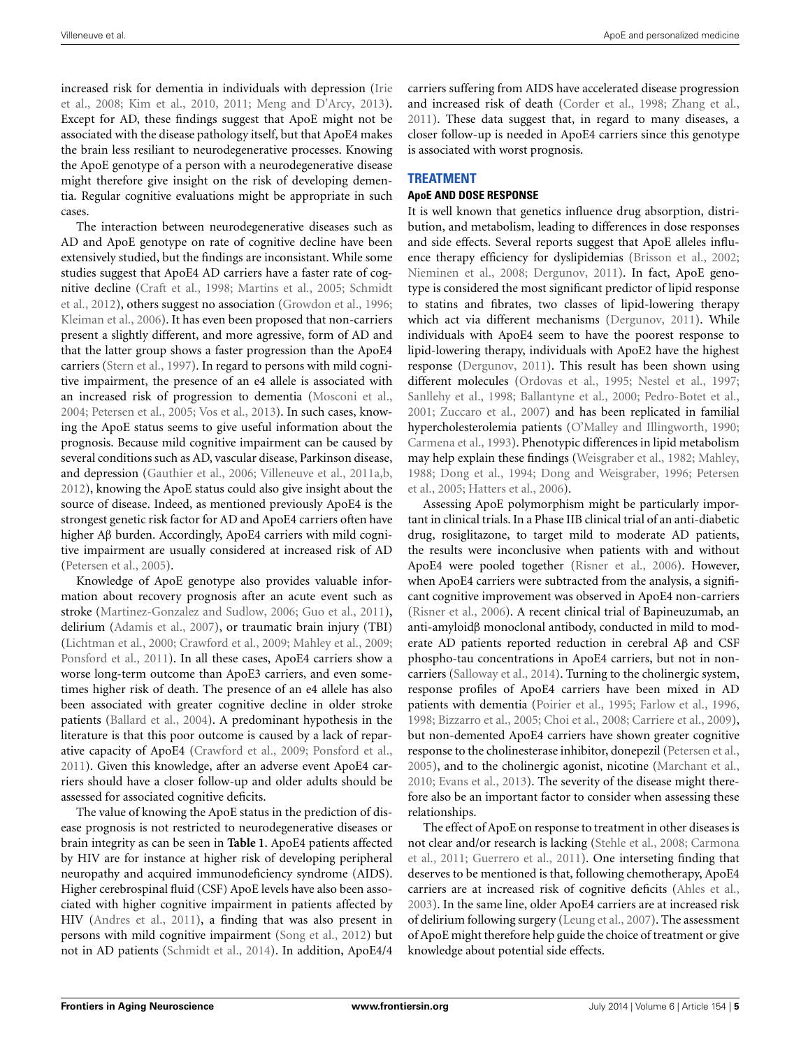incre[ased risk for dementia in individuals with depression \(](#page-7-23)Irie et al., [2008](#page-7-23); [Kim et al., 2010](#page-7-24), [2011;](#page-7-25) [Meng and D'Arcy, 2013](#page-8-24)). Except for AD, these findings suggest that ApoE might not be associated with the disease pathology itself, but that ApoE4 makes the brain less resiliant to neurodegenerative processes. Knowing the ApoE genotype of a person with a neurodegenerative disease might therefore give insight on the risk of developing dementia. Regular cognitive evaluations might be appropriate in such cases.

The interaction between neurodegenerative diseases such as AD and ApoE genotype on rate of cognitive decline have been extensively studied, but the findings are inconsistant. While some studies suggest that ApoE4 AD carriers have a faster rate of cognitiv[e decline](#page-9-25) [\(Craft et al.](#page-7-26)[,](#page-9-25) [1998](#page-7-26)[;](#page-9-25) [Martins et al.](#page-8-26)[,](#page-9-25) [2005](#page-8-26)[;](#page-9-25) Schmidt et al., [2012](#page-9-25)), others suggest no association [\(Growdon et al., 1996;](#page-7-27) [Kleiman et al.](#page-7-28), [2006\)](#page-7-28). It has even been proposed that non-carriers present a slightly different, and more agressive, form of AD and that the latter group shows a faster progression than the ApoE4 carriers [\(Stern et al., 1997](#page-9-26)). In regard to persons with mild cognitive impairment, the presence of an e4 allele is associated with an increased risk of progression to dementia [\(Mosconi et al.,](#page-8-27) [2004](#page-8-27); [Petersen et al.](#page-8-28), [2005](#page-8-28); [Vos et al.](#page-9-27), [2013](#page-9-27)). In such cases, knowing the ApoE status seems to give useful information about the prognosis. Because mild cognitive impairment can be caused by several conditions such as AD, vascular disease, Parkinson disease, and depression [\(Gauthier et al., 2006](#page-7-29); [Villeneuve et al., 2011a](#page-9-28)[,b,](#page-9-29) [2012](#page-9-30)), knowing the ApoE status could also give insight about the source of disease. Indeed, as mentioned previously ApoE4 is the strongest genetic risk factor for AD and ApoE4 carriers often have higher Aβ burden. Accordingly, ApoE4 carriers with mild cognitive impairment are usually considered at increased risk of AD [\(Petersen et al., 2005](#page-8-28)).

Knowledge of ApoE genotype also provides valuable information about recovery prognosis after an acute event such as stroke [\(Martinez-Gonzalez and Sudlow](#page-8-20), [2006;](#page-8-20) [Guo et al., 2011](#page-7-16)), delirium [\(Adamis et al., 2007](#page-6-13)), or traumatic brain injury (TBI) [\(Lichtman et al., 2000;](#page-8-22) [Crawford et al.](#page-7-21), [2009](#page-7-21); [Mahley et al., 2009;](#page-8-2) [Ponsford et al., 2011](#page-8-23)). In all these cases, ApoE4 carriers show a worse long-term outcome than ApoE3 carriers, and even sometimes higher risk of death. The presence of an e4 allele has also been associated with greater cognitive decline in older stroke patients [\(Ballard et al., 2004](#page-6-14)). A predominant hypothesis in the literature is that this poor outcome is caused by a lack of reparative capacity of ApoE4 [\(Crawford et al.](#page-7-21), [2009](#page-7-21); [Ponsford et al.,](#page-8-23) [2011](#page-8-23)). Given this knowledge, after an adverse event ApoE4 carriers should have a closer follow-up and older adults should be assessed for associated cognitive deficits.

The value of knowing the ApoE status in the prediction of disease prognosis is not restricted to neurodegenerative diseases or brain integrity as can be seen in **[Table 1](#page-2-0)**. ApoE4 patients affected by HIV are for instance at higher risk of developing peripheral neuropathy and acquired immunodeficiency syndrome (AIDS). Higher cerebrospinal fluid (CSF) ApoE levels have also been associated with higher cognitive impairment in patients affected by HIV [\(Andres et al., 2011\)](#page-6-15), a finding that was also present in persons with mild cognitive impairment [\(Song et al., 2012](#page-9-31)) but not in AD patients [\(Schmidt et al., 2014](#page-9-32)). In addition, ApoE4/4

carriers suffering from AIDS have accelerated disease progression and increased risk of death [\(Corder et al.](#page-6-8), [1998;](#page-6-8) [Zhang et al.,](#page-9-3) [2011](#page-9-3)). These data suggest that, in regard to many diseases, a closer follow-up is needed in ApoE4 carriers since this genotype is associated with worst prognosis.

# **TREATMENT**

## **ApoE AND DOSE RESPONSE**

It is well known that genetics influence drug absorption, distribution, and metabolism, leading to differences in dose responses and side effects. Several reports suggest that ApoE alleles influence therapy efficiency for dyslipidemias [\(Brisson et al.](#page-6-16), [2002;](#page-6-16) [Nieminen et al.](#page-8-18), [2008](#page-8-18); [Dergunov, 2011\)](#page-7-15). In fact, ApoE genotype is considered the most significant predictor of lipid response to statins and fibrates, two classes of lipid-lowering therapy which act via different mechanisms [\(Dergunov, 2011\)](#page-7-15). While individuals with ApoE4 seem to have the poorest response to lipid-lowering therapy, individuals with ApoE2 have the highest response [\(Dergunov, 2011](#page-7-15)). This result has been shown using different molecules [\(Ordovas et al., 1995;](#page-8-29) [Nestel et al., 1997;](#page-8-30) [Sanllehy et al.](#page-9-33), [1998](#page-9-33); [Ballantyne et al., 2000;](#page-6-17) [Pedro-Botet et al.,](#page-8-31) [2001](#page-8-31); [Zuccaro et al.](#page-10-1), [2007\)](#page-10-1) and has been replicated in familial hypercholesterolemia patients [\(O'Malley and Illingworth, 1990;](#page-8-32) [Carmena et al., 1993](#page-6-18)). Phenotypic differences in lipid metabolism may help explain these findings [\(Weisgraber et al., 1982;](#page-9-2) [Mahley,](#page-8-1) [1988](#page-8-1)[;](#page-8-28) [Dong et al.](#page-7-30)[,](#page-8-28) [1994](#page-7-30)[;](#page-8-28) [Dong and Weisgraber](#page-7-31)[,](#page-8-28) [1996](#page-7-31)[;](#page-8-28) Petersen et al., [2005;](#page-8-28) [Hatters et al.](#page-7-32), [2006](#page-7-32)).

Assessing ApoE polymorphism might be particularly important in clinical trials. In a Phase IIB clinical trial of an anti-diabetic drug, rosiglitazone, to target mild to moderate AD patients, the results were inconclusive when patients with and without ApoE4 were pooled together [\(Risner et al., 2006](#page-9-34)). However, when ApoE4 carriers were subtracted from the analysis, a significant cognitive improvement was observed in ApoE4 non-carriers [\(Risner et al.](#page-9-34), [2006\)](#page-9-34). A recent clinical trial of Bapineuzumab, an anti-amyloidβ monoclonal antibody, conducted in mild to moderate AD patients reported reduction in cerebral Aβ and CSF phospho-tau concentrations in ApoE4 carriers, but not in noncarriers [\(Salloway et al.](#page-9-35), [2014\)](#page-9-35). Turning to the cholinergic system, response profiles of ApoE4 carriers have been mixed in AD patients with dementia [\(Poirier et al., 1995](#page-8-33); [Farlow et al., 1996,](#page-7-33) [1998](#page-7-34); [Bizzarro et al., 2005](#page-6-19); [Choi et al.](#page-6-20), [2008;](#page-6-20) [Carriere et al.](#page-6-21), [2009](#page-6-21)), but non-demented ApoE4 carriers have shown greater cognitive response to the cholinesterase inhibitor, donepezil [\(Petersen et al.,](#page-8-28) [2005](#page-8-28)), and to the cholinergic agonist, nicotine [\(Marchant et al.,](#page-8-34) [2010](#page-8-34); [Evans et al., 2013\)](#page-7-35). The severity of the disease might therefore also be an important factor to consider when assessing these relationships.

The effect of ApoE on response to treatment in other diseases is not [clear](#page-6-22) [and/or](#page-6-22) [research](#page-6-22) [is](#page-6-22) [lacking](#page-6-22) [\(Stehle et al.](#page-9-15)[,](#page-6-22) [2008](#page-9-15)[;](#page-6-22) Carmona et al., [2011;](#page-6-22) [Guerrero et al.](#page-7-36), [2011](#page-7-36)). One interseting finding that deserves to be mentioned is that, following chemotherapy, ApoE4 carriers are at increased risk of cognitive deficits [\(Ahles et al.,](#page-6-11) [2003](#page-6-11)). In the same line, older ApoE4 carriers are at increased risk of delirium following surgery [\(Leung et al., 2007](#page-8-35)). The assessment of ApoE might therefore help guide the choice of treatment or give knowledge about potential side effects.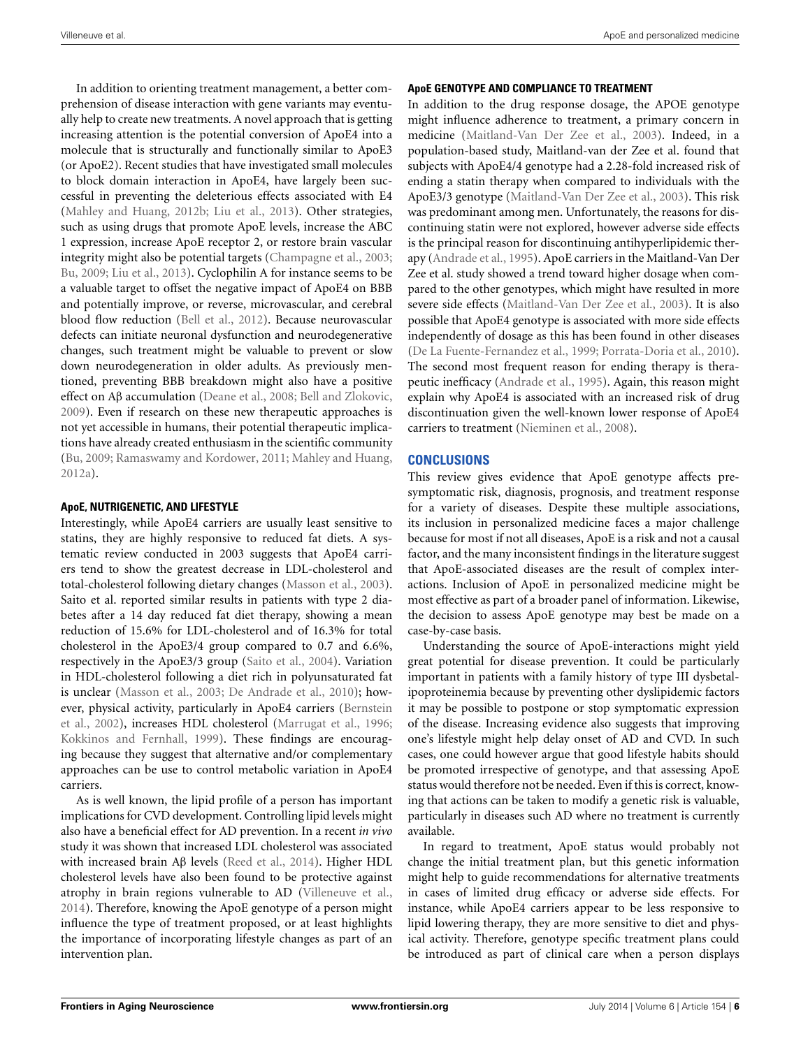In addition to orienting treatment management, a better comprehension of disease interaction with gene variants may eventually help to create new treatments. A novel approach that is getting increasing attention is the potential conversion of ApoE4 into a molecule that is structurally and functionally similar to ApoE3 (or ApoE2). Recent studies that have investigated small molecules to block domain interaction in ApoE4, have largely been successful in preventing the deleterious effects associated with E4 [\(Mahley and Huang](#page-8-36), [2012b](#page-8-36); [Liu et al., 2013\)](#page-8-13). Other strategies, such as using drugs that promote ApoE levels, increase the ABC 1 expression, increase ApoE receptor 2, or restore brain vascular integrity might also be potential targets [\(Champagne et al., 2003;](#page-6-23) [Bu, 2009;](#page-6-0) [Liu et al., 2013\)](#page-8-13). Cyclophilin A for instance seems to be a valuable target to offset the negative impact of ApoE4 on BBB and potentially improve, or reverse, microvascular, and cerebral blood flow reduction [\(Bell et al., 2012\)](#page-6-6). Because neurovascular defects can initiate neuronal dysfunction and neurodegenerative changes, such treatment might be valuable to prevent or slow down neurodegeneration in older adults. As previously mentioned, preventing BBB breakdown might also have a positive effect on Aβ accumulation [\(Deane et al., 2008;](#page-7-5) [Bell and Zlokovic](#page-6-5), [2009](#page-6-5)). Even if research on these new therapeutic approaches is not yet accessible in humans, their potential therapeutic implications have already created enthusiasm in the scientific community [\(Bu](#page-6-0), [2009;](#page-6-0) [Ramaswamy and Kordower](#page-8-37), [2011;](#page-8-37) [Mahley and Huang](#page-8-5), [2012a\)](#page-8-5).

### **ApoE, NUTRIGENETIC, AND LIFESTYLE**

Interestingly, while ApoE4 carriers are usually least sensitive to statins, they are highly responsive to reduced fat diets. A systematic review conducted in 2003 suggests that ApoE4 carriers tend to show the greatest decrease in LDL-cholesterol and total-cholesterol following dietary changes [\(Masson et al., 2003](#page-8-19)). Saito et al. reported similar results in patients with type 2 diabetes after a 14 day reduced fat diet therapy, showing a mean reduction of 15.6% for LDL-cholesterol and of 16.3% for total cholesterol in the ApoE3/4 group compared to 0.7 and 6.6%, respectively in the ApoE3/3 group [\(Saito et al.](#page-9-21), [2004\)](#page-9-21). Variation in HDL-cholesterol following a diet rich in polyunsaturated fat is unclear [\(Masson et al., 2003](#page-8-19); [De Andrade et al.](#page-7-37), [2010](#page-7-37)); however, [physical activity, particularly in ApoE4 carriers \(](#page-6-24)Bernstein et al., [2002\)](#page-6-24), increases HDL cholesterol [\(Marrugat et al.](#page-8-38), [1996;](#page-8-38) [Kokkinos and Fernhall](#page-7-38), [1999\)](#page-7-38). These findings are encouraging because they suggest that alternative and/or complementary approaches can be use to control metabolic variation in ApoE4 carriers.

As is well known, the lipid profile of a person has important implications for CVD development. Controlling lipid levels might also have a beneficial effect for AD prevention. In a recent *in vivo* study it was shown that increased LDL cholesterol was associated with increased brain Aβ levels [\(Reed et al., 2014\)](#page-9-36). Higher HDL cholesterol levels have also been found to be protective against atrophy in brain regions vulnerable to AD [\(Villeneuve et al.](#page-9-37), [2014](#page-9-37)). Therefore, knowing the ApoE genotype of a person might influence the type of treatment proposed, or at least highlights the importance of incorporating lifestyle changes as part of an intervention plan.

## **ApoE GENOTYPE AND COMPLIANCE TO TREATMENT**

In addition to the drug response dosage, the APOE genotype might influence adherence to treatment, a primary concern in medicine [\(Maitland-Van Der Zee et al.](#page-8-17), [2003\)](#page-8-17). Indeed, in a population-based study, Maitland-van der Zee et al. found that subjects with ApoE4/4 genotype had a 2.28-fold increased risk of ending a statin therapy when compared to individuals with the ApoE3/3 genotype [\(Maitland-Van Der Zee et al., 2003](#page-8-17)). This risk was predominant among men. Unfortunately, the reasons for discontinuing statin were not explored, however adverse side effects is the principal reason for discontinuing antihyperlipidemic therapy [\(Andrade et al.](#page-6-25), [1995](#page-6-25)). ApoE carriers in the Maitland-Van Der Zee et al. study showed a trend toward higher dosage when compared to the other genotypes, which might have resulted in more severe side effects [\(Maitland-Van Der Zee et al.](#page-8-17), [2003\)](#page-8-17). It is also possible that ApoE4 genotype is associated with more side effects independently of dosage as this has been found in other diseases [\(De La Fuente-Fernandez et al.](#page-7-18), [1999;](#page-7-18) [Porrata-Doria et al.](#page-8-14), [2010\)](#page-8-14). The second most frequent reason for ending therapy is therapeutic inefficacy [\(Andrade et al., 1995\)](#page-6-25). Again, this reason might explain why ApoE4 is associated with an increased risk of drug discontinuation given the well-known lower response of ApoE4 carriers to treatment [\(Nieminen et al.](#page-8-18), [2008\)](#page-8-18).

# **CONCLUSIONS**

This review gives evidence that ApoE genotype affects presymptomatic risk, diagnosis, prognosis, and treatment response for a variety of diseases. Despite these multiple associations, its inclusion in personalized medicine faces a major challenge because for most if not all diseases, ApoE is a risk and not a causal factor, and the many inconsistent findings in the literature suggest that ApoE-associated diseases are the result of complex interactions. Inclusion of ApoE in personalized medicine might be most effective as part of a broader panel of information. Likewise, the decision to assess ApoE genotype may best be made on a case-by-case basis.

Understanding the source of ApoE-interactions might yield great potential for disease prevention. It could be particularly important in patients with a family history of type III dysbetalipoproteinemia because by preventing other dyslipidemic factors it may be possible to postpone or stop symptomatic expression of the disease. Increasing evidence also suggests that improving one's lifestyle might help delay onset of AD and CVD. In such cases, one could however argue that good lifestyle habits should be promoted irrespective of genotype, and that assessing ApoE status would therefore not be needed. Even if this is correct, knowing that actions can be taken to modify a genetic risk is valuable, particularly in diseases such AD where no treatment is currently available.

In regard to treatment, ApoE status would probably not change the initial treatment plan, but this genetic information might help to guide recommendations for alternative treatments in cases of limited drug efficacy or adverse side effects. For instance, while ApoE4 carriers appear to be less responsive to lipid lowering therapy, they are more sensitive to diet and physical activity. Therefore, genotype specific treatment plans could be introduced as part of clinical care when a person displays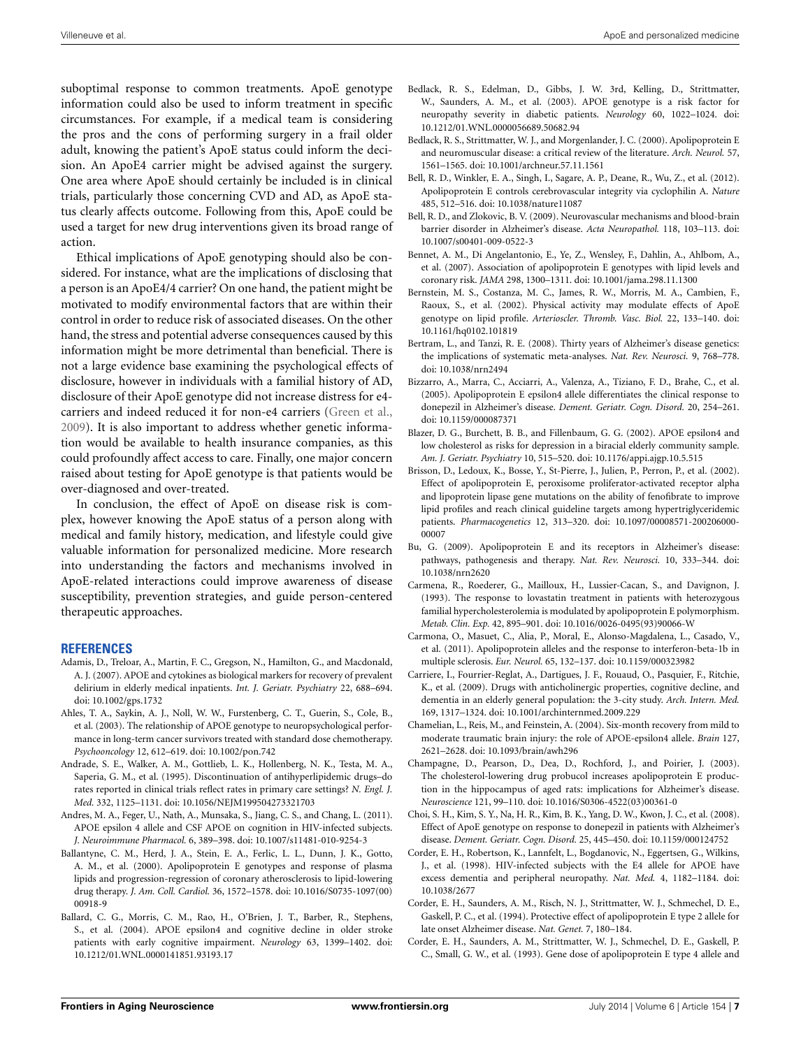Villeneuve et al. ApoE and personalized medicine

suboptimal response to common treatments. ApoE genotype information could also be used to inform treatment in specific circumstances. For example, if a medical team is considering the pros and the cons of performing surgery in a frail older adult, knowing the patient's ApoE status could inform the decision. An ApoE4 carrier might be advised against the surgery. One area where ApoE should certainly be included is in clinical trials, particularly those concerning CVD and AD, as ApoE status clearly affects outcome. Following from this, ApoE could be used a target for new drug interventions given its broad range of action.

Ethical implications of ApoE genotyping should also be considered. For instance, what are the implications of disclosing that a person is an ApoE4/4 carrier? On one hand, the patient might be motivated to modify environmental factors that are within their control in order to reduce risk of associated diseases. On the other hand, the stress and potential adverse consequences caused by this information might be more detrimental than beneficial. There is not a large evidence base examining the psychological effects of disclosure, however in individuals with a familial history of AD, disclosure of their ApoE genotype did not increase distress for e4 carriers and indeed reduced it for non-e4 carriers [\(Green et al.,](#page-7-39) [2009](#page-7-39)). It is also important to address whether genetic information would be available to health insurance companies, as this could profoundly affect access to care. Finally, one major concern raised about testing for ApoE genotype is that patients would be over-diagnosed and over-treated.

In conclusion, the effect of ApoE on disease risk is complex, however knowing the ApoE status of a person along with medical and family history, medication, and lifestyle could give valuable information for personalized medicine. More research into understanding the factors and mechanisms involved in ApoE-related interactions could improve awareness of disease susceptibility, prevention strategies, and guide person-centered therapeutic approaches.

#### **REFERENCES**

- <span id="page-6-13"></span>Adamis, D., Treloar, A., Martin, F. C., Gregson, N., Hamilton, G., and Macdonald, A. J. (2007). APOE and cytokines as biological markers for recovery of prevalent delirium in elderly medical inpatients. *Int. J. Geriatr. Psychiatry* 22, 688–694. doi: 10.1002/gps.1732
- <span id="page-6-11"></span>Ahles, T. A., Saykin, A. J., Noll, W. W., Furstenberg, C. T., Guerin, S., Cole, B., et al. (2003). The relationship of APOE genotype to neuropsychological performance in long-term cancer survivors treated with standard dose chemotherapy. *Psychooncology* 12, 612–619. doi: 10.1002/pon.742
- <span id="page-6-25"></span>Andrade, S. E., Walker, A. M., Gottlieb, L. K., Hollenberg, N. K., Testa, M. A., Saperia, G. M., et al. (1995). Discontinuation of antihyperlipidemic drugs–do rates reported in clinical trials reflect rates in primary care settings? *N. Engl. J. Med.* 332, 1125–1131. doi: 10.1056/NEJM199504273321703
- <span id="page-6-15"></span>Andres, M. A., Feger, U., Nath, A., Munsaka, S., Jiang, C. S., and Chang, L. (2011). APOE epsilon 4 allele and CSF APOE on cognition in HIV-infected subjects. *J. Neuroimmune Pharmacol.* 6, 389–398. doi: 10.1007/s11481-010-9254-3
- <span id="page-6-17"></span>Ballantyne, C. M., Herd, J. A., Stein, E. A., Ferlic, L. L., Dunn, J. K., Gotto, A. M., et al. (2000). Apolipoprotein E genotypes and response of plasma lipids and progression-regression of coronary atherosclerosis to lipid-lowering drug therapy. *J. Am. Coll. Cardiol.* 36, 1572–1578. doi: 10.1016/S0735-1097(00) 00918-9
- <span id="page-6-14"></span>Ballard, C. G., Morris, C. M., Rao, H., O'Brien, J. T., Barber, R., Stephens, S., et al. (2004). APOE epsilon4 and cognitive decline in older stroke patients with early cognitive impairment. *Neurology* 63, 1399–1402. doi: 10.1212/01.WNL.0000141851.93193.17
- <span id="page-6-10"></span>Bedlack, R. S., Edelman, D., Gibbs, J. W. 3rd, Kelling, D., Strittmatter, W., Saunders, A. M., et al. (2003). APOE genotype is a risk factor for neuropathy severity in diabetic patients. *Neurology* 60, 1022–1024. doi: 10.1212/01.WNL.0000056689.50682.94
- <span id="page-6-7"></span>Bedlack, R. S., Strittmatter, W. J., and Morgenlander, J. C. (2000). Apolipoprotein E and neuromuscular disease: a critical review of the literature. *Arch. Neurol.* 57, 1561–1565. doi: 10.1001/archneur.57.11.1561
- <span id="page-6-6"></span>Bell, R. D., Winkler, E. A., Singh, I., Sagare, A. P., Deane, R., Wu, Z., et al. (2012). Apolipoprotein E controls cerebrovascular integrity via cyclophilin A. *Nature* 485, 512–516. doi: 10.1038/nature11087
- <span id="page-6-5"></span>Bell, R. D., and Zlokovic, B. V. (2009). Neurovascular mechanisms and blood-brain barrier disorder in Alzheimer's disease. *Acta Neuropathol.* 118, 103–113. doi: 10.1007/s00401-009-0522-3
- <span id="page-6-1"></span>Bennet, A. M., Di Angelantonio, E., Ye, Z., Wensley, F., Dahlin, A., Ahlbom, A., et al. (2007). Association of apolipoprotein E genotypes with lipid levels and coronary risk. *JAMA* 298, 1300–1311. doi: 10.1001/jama.298.11.1300
- <span id="page-6-24"></span>Bernstein, M. S., Costanza, M. C., James, R. W., Morris, M. A., Cambien, F., Raoux, S., et al. (2002). Physical activity may modulate effects of ApoE genotype on lipid profile. *Arterioscler. Thromb. Vasc. Biol.* 22, 133–140. doi: 10.1161/hq0102.101819
- <span id="page-6-4"></span>Bertram, L., and Tanzi, R. E. (2008). Thirty years of Alzheimer's disease genetics: the implications of systematic meta-analyses. *Nat. Rev. Neurosci.* 9, 768–778. doi: 10.1038/nrn2494
- <span id="page-6-19"></span>Bizzarro, A., Marra, C., Acciarri, A., Valenza, A., Tiziano, F. D., Brahe, C., et al. (2005). Apolipoprotein E epsilon4 allele differentiates the clinical response to donepezil in Alzheimer's disease. *Dement. Geriatr. Cogn. Disord.* 20, 254–261. doi: 10.1159/000087371
- <span id="page-6-12"></span>Blazer, D. G., Burchett, B. B., and Fillenbaum, G. G. (2002). APOE epsilon4 and low cholesterol as risks for depression in a biracial elderly community sample. *Am. J. Geriatr. Psychiatry* 10, 515–520. doi: 10.1176/appi.ajgp.10.5.515
- <span id="page-6-16"></span>Brisson, D., Ledoux, K., Bosse, Y., St-Pierre, J., Julien, P., Perron, P., et al. (2002). Effect of apolipoprotein E, peroxisome proliferator-activated receptor alpha and lipoprotein lipase gene mutations on the ability of fenofibrate to improve lipid profiles and reach clinical guideline targets among hypertriglyceridemic patients. *Pharmacogenetics* 12, 313–320. doi: 10.1097/00008571-200206000- 00007
- <span id="page-6-0"></span>Bu, G. (2009). Apolipoprotein E and its receptors in Alzheimer's disease: pathways, pathogenesis and therapy. *Nat. Rev. Neurosci.* 10, 333–344. doi: 10.1038/nrn2620
- <span id="page-6-18"></span>Carmena, R., Roederer, G., Mailloux, H., Lussier-Cacan, S., and Davignon, J. (1993). The response to lovastatin treatment in patients with heterozygous familial hypercholesterolemia is modulated by apolipoprotein E polymorphism. *Metab. Clin. Exp.* 42, 895–901. doi: 10.1016/0026-0495(93)90066-W
- <span id="page-6-22"></span>Carmona, O., Masuet, C., Alia, P., Moral, E., Alonso-Magdalena, L., Casado, V., et al. (2011). Apolipoprotein alleles and the response to interferon-beta-1b in multiple sclerosis. *Eur. Neurol.* 65, 132–137. doi: 10.1159/000323982
- <span id="page-6-21"></span>Carriere, I., Fourrier-Reglat, A., Dartigues, J. F., Rouaud, O., Pasquier, F., Ritchie, K., et al. (2009). Drugs with anticholinergic properties, cognitive decline, and dementia in an elderly general population: the 3-city study. *Arch. Intern. Med.* 169, 1317–1324. doi: 10.1001/archinternmed.2009.229
- <span id="page-6-9"></span>Chamelian, L., Reis, M., and Feinstein, A. (2004). Six-month recovery from mild to moderate traumatic brain injury: the role of APOE-epsilon4 allele. *Brain* 127, 2621–2628. doi: 10.1093/brain/awh296
- <span id="page-6-23"></span>Champagne, D., Pearson, D., Dea, D., Rochford, J., and Poirier, J. (2003). The cholesterol-lowering drug probucol increases apolipoprotein E production in the hippocampus of aged rats: implications for Alzheimer's disease. *Neuroscience* 121, 99–110. doi: 10.1016/S0306-4522(03)00361-0
- <span id="page-6-20"></span>Choi, S. H., Kim, S. Y., Na, H. R., Kim, B. K., Yang, D. W., Kwon, J. C., et al. (2008). Effect of ApoE genotype on response to donepezil in patients with Alzheimer's disease. *Dement. Geriatr. Cogn. Disord.* 25, 445–450. doi: 10.1159/000124752
- <span id="page-6-8"></span>Corder, E. H., Robertson, K., Lannfelt, L., Bogdanovic, N., Eggertsen, G., Wilkins, J., et al. (1998). HIV-infected subjects with the E4 allele for APOE have excess dementia and peripheral neuropathy. *Nat. Med.* 4, 1182–1184. doi: 10.1038/2677
- <span id="page-6-3"></span>Corder, E. H., Saunders, A. M., Risch, N. J., Strittmatter, W. J., Schmechel, D. E., Gaskell, P. C., et al. (1994). Protective effect of apolipoprotein E type 2 allele for late onset Alzheimer disease. *Nat. Genet.* 7, 180–184.
- <span id="page-6-2"></span>Corder, E. H., Saunders, A. M., Strittmatter, W. J., Schmechel, D. E., Gaskell, P. C., Small, G. W., et al. (1993). Gene dose of apolipoprotein E type 4 allele and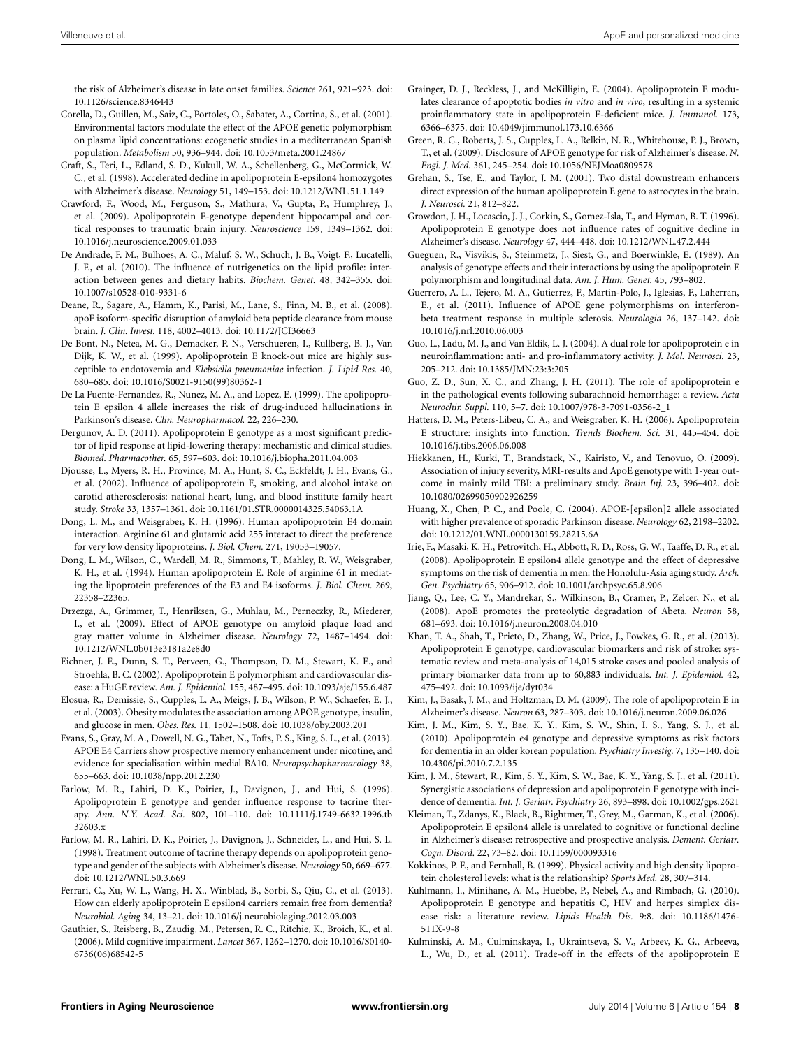the risk of Alzheimer's disease in late onset families. *Science* 261, 921–923. doi: 10.1126/science.8346443

- <span id="page-7-11"></span>Corella, D., Guillen, M., Saiz, C., Portoles, O., Sabater, A., Cortina, S., et al. (2001). Environmental factors modulate the effect of the APOE genetic polymorphism on plasma lipid concentrations: ecogenetic studies in a mediterranean Spanish population. *Metabolism* 50, 936–944. doi: 10.1053/meta.2001.24867
- <span id="page-7-26"></span>Craft, S., Teri, L., Edland, S. D., Kukull, W. A., Schellenberg, G., McCormick, W. C., et al. (1998). Accelerated decline in apolipoprotein E-epsilon4 homozygotes with Alzheimer's disease. *Neurology* 51, 149–153. doi: 10.1212/WNL.51.1.149
- <span id="page-7-21"></span>Crawford, F., Wood, M., Ferguson, S., Mathura, V., Gupta, P., Humphrey, J., et al. (2009). Apolipoprotein E-genotype dependent hippocampal and cortical responses to traumatic brain injury. *Neuroscience* 159, 1349–1362. doi: 10.1016/j.neuroscience.2009.01.033
- <span id="page-7-37"></span>De Andrade, F. M., Bulhoes, A. C., Maluf, S. W., Schuch, J. B., Voigt, F., Lucatelli, J. F., et al. (2010). The influence of nutrigenetics on the lipid profile: interaction between genes and dietary habits. *Biochem. Genet.* 48, 342–355. doi: 10.1007/s10528-010-9331-6
- <span id="page-7-5"></span>Deane, R., Sagare, A., Hamm, K., Parisi, M., Lane, S., Finn, M. B., et al. (2008). apoE isoform-specific disruption of amyloid beta peptide clearance from mouse brain. *J. Clin. Invest.* 118, 4002–4013. doi: 10.1172/JCI36663
- <span id="page-7-19"></span>De Bont, N., Netea, M. G., Demacker, P. N., Verschueren, I., Kullberg, B. J., Van Dijk, K. W., et al. (1999). Apolipoprotein E knock-out mice are highly susceptible to endotoxemia and *Klebsiella pneumoniae* infection. *J. Lipid Res.* 40, 680–685. doi: 10.1016/S0021-9150(99)80362-1
- <span id="page-7-18"></span>De La Fuente-Fernandez, R., Nunez, M. A., and Lopez, E. (1999). The apolipoprotein E epsilon 4 allele increases the risk of drug-induced hallucinations in Parkinson's disease. *Clin. Neuropharmacol.* 22, 226–230.
- <span id="page-7-15"></span>Dergunov, A. D. (2011). Apolipoprotein E genotype as a most significant predictor of lipid response at lipid-lowering therapy: mechanistic and clinical studies. *Biomed. Pharmacother.* 65, 597–603. doi: 10.1016/j.biopha.2011.04.003
- <span id="page-7-12"></span>Djousse, L., Myers, R. H., Province, M. A., Hunt, S. C., Eckfeldt, J. H., Evans, G., et al. (2002). Influence of apolipoprotein E, smoking, and alcohol intake on carotid atherosclerosis: national heart, lung, and blood institute family heart study. *Stroke* 33, 1357–1361. doi: 10.1161/01.STR.0000014325.54063.1A
- <span id="page-7-31"></span>Dong, L. M., and Weisgraber, K. H. (1996). Human apolipoprotein E4 domain interaction. Arginine 61 and glutamic acid 255 interact to direct the preference for very low density lipoproteins. *J. Biol. Chem.* 271, 19053–19057.
- <span id="page-7-30"></span>Dong, L. M., Wilson, C., Wardell, M. R., Simmons, T., Mahley, R. W., Weisgraber, K. H., et al. (1994). Human apolipoprotein E. Role of arginine 61 in mediating the lipoprotein preferences of the E3 and E4 isoforms. *J. Biol. Chem.* 269, 22358–22365.
- <span id="page-7-3"></span>Drzezga, A., Grimmer, T., Henriksen, G., Muhlau, M., Perneczky, R., Miederer, I., et al. (2009). Effect of APOE genotype on amyloid plaque load and gray matter volume in Alzheimer disease. *Neurology* 72, 1487–1494. doi: 10.1212/WNL.0b013e3181a2e8d0
- <span id="page-7-1"></span>Eichner, J. E., Dunn, S. T., Perveen, G., Thompson, D. M., Stewart, K. E., and Stroehla, B. C. (2002). Apolipoprotein E polymorphism and cardiovascular disease: a HuGE review. *Am. J. Epidemiol.* 155, 487–495. doi: 10.1093/aje/155.6.487
- <span id="page-7-2"></span>Elosua, R., Demissie, S., Cupples, L. A., Meigs, J. B., Wilson, P. W., Schaefer, E. J., et al. (2003). Obesity modulates the association among APOE genotype, insulin, and glucose in men. *Obes. Res.* 11, 1502–1508. doi: 10.1038/oby.2003.201
- <span id="page-7-35"></span>Evans, S., Gray, M. A., Dowell, N. G., Tabet, N., Tofts, P. S., King, S. L., et al. (2013). APOE E4 Carriers show prospective memory enhancement under nicotine, and evidence for specialisation within medial BA10. *Neuropsychopharmacology* 38, 655–663. doi: 10.1038/npp.2012.230
- <span id="page-7-33"></span>Farlow, M. R., Lahiri, D. K., Poirier, J., Davignon, J., and Hui, S. (1996). Apolipoprotein E genotype and gender influence response to tacrine therapy. *Ann. N.Y. Acad. Sci.* 802, 101–110. doi: 10.1111/j.1749-6632.1996.tb 32603.x
- <span id="page-7-34"></span>Farlow, M. R., Lahiri, D. K., Poirier, J., Davignon, J., Schneider, L., and Hui, S. L. (1998). Treatment outcome of tacrine therapy depends on apolipoprotein genotype and gender of the subjects with Alzheimer's disease. *Neurology* 50, 669–677. doi: 10.1212/WNL.50.3.669
- <span id="page-7-14"></span>Ferrari, C., Xu, W. L., Wang, H. X., Winblad, B., Sorbi, S., Qiu, C., et al. (2013). How can elderly apolipoprotein E epsilon4 carriers remain free from dementia? *Neurobiol. Aging* 34, 13–21. doi: 10.1016/j.neurobiolaging.2012.03.003
- <span id="page-7-29"></span>Gauthier, S., Reisberg, B., Zaudig, M., Petersen, R. C., Ritchie, K., Broich, K., et al. (2006). Mild cognitive impairment. *Lancet* 367, 1262–1270. doi: 10.1016/S0140- 6736(06)68542-5
- <span id="page-7-6"></span>Grainger, D. J., Reckless, J., and McKilligin, E. (2004). Apolipoprotein E modulates clearance of apoptotic bodies *in vitro* and *in vivo*, resulting in a systemic proinflammatory state in apolipoprotein E-deficient mice. *J. Immunol.* 173, 6366–6375. doi: 10.4049/jimmunol.173.10.6366
- <span id="page-7-39"></span>Green, R. C., Roberts, J. S., Cupples, L. A., Relkin, N. R., Whitehouse, P. J., Brown, T., et al. (2009). Disclosure of APOE genotype for risk of Alzheimer's disease. *N. Engl. J. Med.* 361, 245–254. doi: 10.1056/NEJMoa0809578
- <span id="page-7-0"></span>Grehan, S., Tse, E., and Taylor, J. M. (2001). Two distal downstream enhancers direct expression of the human apolipoprotein E gene to astrocytes in the brain. *J. Neurosci.* 21, 812–822.
- <span id="page-7-27"></span>Growdon, J. H., Locascio, J. J., Corkin, S., Gomez-Isla, T., and Hyman, B. T. (1996). Apolipoprotein E genotype does not influence rates of cognitive decline in Alzheimer's disease. *Neurology* 47, 444–448. doi: 10.1212/WNL.47.2.444
- <span id="page-7-13"></span>Gueguen, R., Visvikis, S., Steinmetz, J., Siest, G., and Boerwinkle, E. (1989). An analysis of genotype effects and their interactions by using the apolipoprotein E polymorphism and longitudinal data. *Am. J. Hum. Genet.* 45, 793–802.
- <span id="page-7-36"></span>Guerrero, A. L., Tejero, M. A., Gutierrez, F., Martin-Polo, J., Iglesias, F., Laherran, E., et al. (2011). Influence of APOE gene polymorphisms on interferonbeta treatment response in multiple sclerosis. *Neurologia* 26, 137–142. doi: 10.1016/j.nrl.2010.06.003
- <span id="page-7-7"></span>Guo, L., Ladu, M. J., and Van Eldik, L. J. (2004). A dual role for apolipoprotein e in neuroinflammation: anti- and pro-inflammatory activity. *J. Mol. Neurosci.* 23, 205–212. doi: 10.1385/JMN:23:3:205
- <span id="page-7-16"></span>Guo, Z. D., Sun, X. C., and Zhang, J. H. (2011). The role of apolipoprotein e in the pathological events following subarachnoid hemorrhage: a review. *Acta Neurochir. Suppl.* 110, 5–7. doi: 10.1007/978-3-7091-0356-2\_1
- <span id="page-7-32"></span>Hatters, D. M., Peters-Libeu, C. A., and Weisgraber, K. H. (2006). Apolipoprotein E structure: insights into function. *Trends Biochem. Sci.* 31, 445–454. doi: 10.1016/j.tibs.2006.06.008
- <span id="page-7-22"></span>Hiekkanen, H., Kurki, T., Brandstack, N., Kairisto, V., and Tenovuo, O. (2009). Association of injury severity, MRI-results and ApoE genotype with 1-year outcome in mainly mild TBI: a preliminary study. *Brain Inj.* 23, 396–402. doi: 10.1080/02699050902926259
- <span id="page-7-9"></span>Huang, X., Chen, P. C., and Poole, C. (2004). APOE-[epsilon]2 allele associated with higher prevalence of sporadic Parkinson disease. *Neurology* 62, 2198–2202. doi: 10.1212/01.WNL.0000130159.28215.6A
- <span id="page-7-23"></span>Irie, F., Masaki, K. H., Petrovitch, H., Abbott, R. D., Ross, G. W., Taaffe, D. R., et al. (2008). Apolipoprotein E epsilon4 allele genotype and the effect of depressive symptoms on the risk of dementia in men: the Honolulu-Asia aging study. *Arch. Gen. Psychiatry* 65, 906–912. doi: 10.1001/archpsyc.65.8.906
- <span id="page-7-4"></span>Jiang, Q., Lee, C. Y., Mandrekar, S., Wilkinson, B., Cramer, P., Zelcer, N., et al. (2008). ApoE promotes the proteolytic degradation of Abeta. *Neuron* 58, 681–693. doi: 10.1016/j.neuron.2008.04.010
- <span id="page-7-17"></span>Khan, T. A., Shah, T., Prieto, D., Zhang, W., Price, J., Fowkes, G. R., et al. (2013). Apolipoprotein E genotype, cardiovascular biomarkers and risk of stroke: systematic review and meta-analysis of 14,015 stroke cases and pooled analysis of primary biomarker data from up to 60,883 individuals. *Int. J. Epidemiol.* 42, 475–492. doi: 10.1093/ije/dyt034
- <span id="page-7-8"></span>Kim, J., Basak, J. M., and Holtzman, D. M. (2009). The role of apolipoprotein E in Alzheimer's disease. *Neuron* 63, 287–303. doi: 10.1016/j.neuron.2009.06.026
- <span id="page-7-24"></span>Kim, J. M., Kim, S. Y., Bae, K. Y., Kim, S. W., Shin, I. S., Yang, S. J., et al. (2010). Apolipoprotein e4 genotype and depressive symptoms as risk factors for dementia in an older korean population. *Psychiatry Investig.* 7, 135–140. doi: 10.4306/pi.2010.7.2.135
- <span id="page-7-25"></span>Kim, J. M., Stewart, R., Kim, S. Y., Kim, S. W., Bae, K. Y., Yang, S. J., et al. (2011). Synergistic associations of depression and apolipoprotein E genotype with incidence of dementia. *Int. J. Geriatr. Psychiatry* 26, 893–898. doi: 10.1002/gps.2621
- <span id="page-7-28"></span>Kleiman, T., Zdanys, K., Black, B., Rightmer, T., Grey, M., Garman, K., et al. (2006). Apolipoprotein E epsilon4 allele is unrelated to cognitive or functional decline in Alzheimer's disease: retrospective and prospective analysis. *Dement. Geriatr. Cogn. Disord.* 22, 73–82. doi: 10.1159/000093316
- <span id="page-7-38"></span>Kokkinos, P. F., and Fernhall, B. (1999). Physical activity and high density lipoprotein cholesterol levels: what is the relationship? *Sports Med.* 28, 307–314.
- <span id="page-7-20"></span>Kuhlmann, I., Minihane, A. M., Huebbe, P., Nebel, A., and Rimbach, G. (2010). Apolipoprotein E genotype and hepatitis C, HIV and herpes simplex disease risk: a literature review. *Lipids Health Dis.* 9:8. doi: 10.1186/1476- 511X-9-8
- <span id="page-7-10"></span>Kulminski, A. M., Culminskaya, I., Ukraintseva, S. V., Arbeev, K. G., Arbeeva, L., Wu, D., et al. (2011). Trade-off in the effects of the apolipoprotein E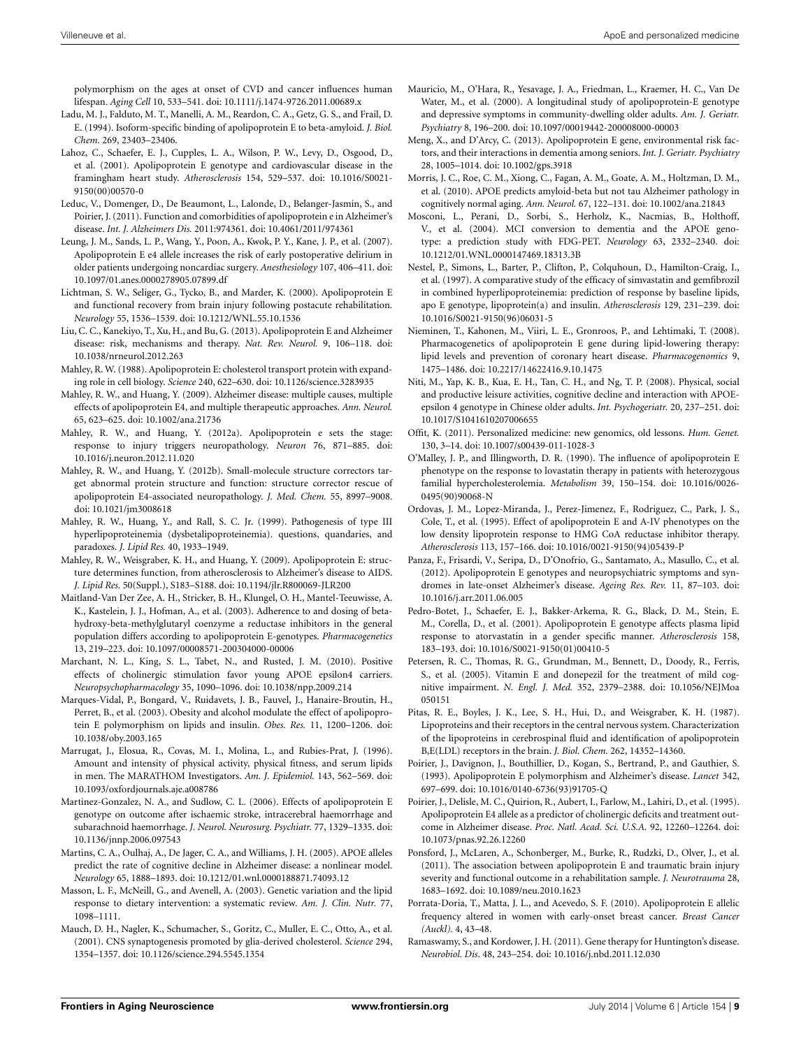polymorphism on the ages at onset of CVD and cancer influences human lifespan. *Aging Cell* 10, 533–541. doi: 10.1111/j.1474-9726.2011.00689.x

- <span id="page-8-12"></span>Ladu, M. J., Falduto, M. T., Manelli, A. M., Reardon, C. A., Getz, G. S., and Frail, D. E. (1994). Isoform-specific binding of apolipoprotein E to beta-amyloid. *J. Biol. Chem.* 269, 23403–23406.
- <span id="page-8-8"></span>Lahoz, C., Schaefer, E. J., Cupples, L. A., Wilson, P. W., Levy, D., Osgood, D., et al. (2001). Apolipoprotein E genotype and cardiovascular disease in the framingham heart study. *Atherosclerosis* 154, 529–537. doi: 10.1016/S0021- 9150(00)00570-0
- <span id="page-8-7"></span>Leduc, V., Domenger, D., De Beaumont, L., Lalonde, D., Belanger-Jasmin, S., and Poirier, J. (2011). Function and comorbidities of apolipoprotein e in Alzheimer's disease. *Int. J. Alzheimers Dis.* 2011:974361. doi: 10.4061/2011/974361
- <span id="page-8-35"></span>Leung, J. M., Sands, L. P., Wang, Y., Poon, A., Kwok, P. Y., Kane, J. P., et al. (2007). Apolipoprotein E e4 allele increases the risk of early postoperative delirium in older patients undergoing noncardiac surgery. *Anesthesiology* 107, 406–411. doi: 10.1097/01.anes.0000278905.07899.df
- <span id="page-8-22"></span>Lichtman, S. W., Seliger, G., Tycko, B., and Marder, K. (2000). Apolipoprotein E and functional recovery from brain injury following postacute rehabilitation. *Neurology* 55, 1536–1539. doi: 10.1212/WNL.55.10.1536
- <span id="page-8-13"></span>Liu, C. C., Kanekiyo, T., Xu, H., and Bu, G. (2013). Apolipoprotein E and Alzheimer disease: risk, mechanisms and therapy. *Nat. Rev. Neurol.* 9, 106–118. doi: 10.1038/nrneurol.2012.263
- <span id="page-8-1"></span>Mahley, R. W. (1988). Apolipoprotein E: cholesterol transport protein with expanding role in cell biology. *Science* 240, 622–630. doi: 10.1126/science.3283935
- <span id="page-8-3"></span>Mahley, R. W., and Huang, Y. (2009). Alzheimer disease: multiple causes, multiple effects of apolipoprotein E4, and multiple therapeutic approaches. *Ann. Neurol.* 65, 623–625. doi: 10.1002/ana.21736
- <span id="page-8-5"></span>Mahley, R. W., and Huang, Y. (2012a). Apolipoprotein e sets the stage: response to injury triggers neuropathology. *Neuron* 76, 871–885. doi: 10.1016/j.neuron.2012.11.020
- <span id="page-8-36"></span>Mahley, R. W., and Huang, Y. (2012b). Small-molecule structure correctors target abnormal protein structure and function: structure corrector rescue of apolipoprotein E4-associated neuropathology. *J. Med. Chem.* 55, 8997–9008. doi: 10.1021/jm3008618
- <span id="page-8-9"></span>Mahley, R. W., Huang, Y., and Rall, S. C. Jr. (1999). Pathogenesis of type III hyperlipoproteinemia (dysbetalipoproteinemia). questions, quandaries, and paradoxes. *J. Lipid Res.* 40, 1933–1949.
- <span id="page-8-2"></span>Mahley, R. W., Weisgraber, K. H., and Huang, Y. (2009). Apolipoprotein E: structure determines function, from atherosclerosis to Alzheimer's disease to AIDS. *J. Lipid Res.* 50(Suppl.), S183–S188. doi: 10.1194/jlr.R800069-JLR200
- <span id="page-8-17"></span>Maitland-Van Der Zee, A. H., Stricker, B. H., Klungel, O. H., Mantel-Teeuwisse, A. K., Kastelein, J. J., Hofman, A., et al. (2003). Adherence to and dosing of betahydroxy-beta-methylglutaryl coenzyme a reductase inhibitors in the general population differs according to apolipoprotein E-genotypes. *Pharmacogenetics* 13, 219–223. doi: 10.1097/00008571-200304000-00006
- <span id="page-8-34"></span>Marchant, N. L., King, S. L., Tabet, N., and Rusted, J. M. (2010). Positive effects of cholinergic stimulation favor young APOE epsilon4 carriers. *Neuropsychopharmacology* 35, 1090–1096. doi: 10.1038/npp.2009.214
- <span id="page-8-15"></span>Marques-Vidal, P., Bongard, V., Ruidavets, J. B., Fauvel, J., Hanaire-Broutin, H., Perret, B., et al. (2003). Obesity and alcohol modulate the effect of apolipoprotein E polymorphism on lipids and insulin. *Obes. Res.* 11, 1200–1206. doi: 10.1038/oby.2003.165
- <span id="page-8-38"></span>Marrugat, J., Elosua, R., Covas, M. I., Molina, L., and Rubies-Prat, J. (1996). Amount and intensity of physical activity, physical fitness, and serum lipids in men. The MARATHOM Investigators. *Am. J. Epidemiol.* 143, 562–569. doi: 10.1093/oxfordjournals.aje.a008786
- <span id="page-8-20"></span>Martinez-Gonzalez, N. A., and Sudlow, C. L. (2006). Effects of apolipoprotein E genotype on outcome after ischaemic stroke, intracerebral haemorrhage and subarachnoid haemorrhage. *J. Neurol. Neurosurg. Psychiatr.* 77, 1329–1335. doi: 10.1136/jnnp.2006.097543
- <span id="page-8-26"></span>Martins, C. A., Oulhaj, A., De Jager, C. A., and Williams, J. H. (2005). APOE alleles predict the rate of cognitive decline in Alzheimer disease: a nonlinear model. *Neurology* 65, 1888–1893. doi: 10.1212/01.wnl.0000188871.74093.12
- <span id="page-8-19"></span>Masson, L. F., McNeill, G., and Avenell, A. (2003). Genetic variation and the lipid response to dietary intervention: a systematic review. *Am. J. Clin. Nutr.* 77, 1098–1111.
- <span id="page-8-6"></span>Mauch, D. H., Nagler, K., Schumacher, S., Goritz, C., Muller, E. C., Otto, A., et al. (2001). CNS synaptogenesis promoted by glia-derived cholesterol. *Science* 294, 1354–1357. doi: 10.1126/science.294.5545.1354
- <span id="page-8-25"></span>Mauricio, M., O'Hara, R., Yesavage, J. A., Friedman, L., Kraemer, H. C., Van De Water, M., et al. (2000). A longitudinal study of apolipoprotein-E genotype and depressive symptoms in community-dwelling older adults. *Am. J. Geriatr. Psychiatry* 8, 196–200. doi: 10.1097/00019442-200008000-00003
- <span id="page-8-24"></span>Meng, X., and D'Arcy, C. (2013). Apolipoprotein E gene, environmental risk factors, and their interactions in dementia among seniors. *Int. J. Geriatr. Psychiatry* 28, 1005–1014. doi: 10.1002/gps.3918
- <span id="page-8-11"></span>Morris, J. C., Roe, C. M., Xiong, C., Fagan, A. M., Goate, A. M., Holtzman, D. M., et al. (2010). APOE predicts amyloid-beta but not tau Alzheimer pathology in cognitively normal aging. *Ann. Neurol.* 67, 122–131. doi: 10.1002/ana.21843
- <span id="page-8-27"></span>Mosconi, L., Perani, D., Sorbi, S., Herholz, K., Nacmias, B., Holthoff, V., et al. (2004). MCI conversion to dementia and the APOE genotype: a prediction study with FDG-PET. *Neurology* 63, 2332–2340. doi: 10.1212/01.WNL.0000147469.18313.3B
- <span id="page-8-30"></span>Nestel, P., Simons, L., Barter, P., Clifton, P., Colquhoun, D., Hamilton-Craig, I., et al. (1997). A comparative study of the efficacy of simvastatin and gemfibrozil in combined hyperlipoproteinemia: prediction of response by baseline lipids, apo E genotype, lipoprotein(a) and insulin. *Atherosclerosis* 129, 231–239. doi: 10.1016/S0021-9150(96)06031-5
- <span id="page-8-18"></span>Nieminen, T., Kahonen, M., Viiri, L. E., Gronroos, P., and Lehtimaki, T. (2008). Pharmacogenetics of apolipoprotein E gene during lipid-lowering therapy: lipid levels and prevention of coronary heart disease. *Pharmacogenomics* 9, 1475–1486. doi: 10.2217/14622416.9.10.1475
- <span id="page-8-16"></span>Niti, M., Yap, K. B., Kua, E. H., Tan, C. H., and Ng, T. P. (2008). Physical, social and productive leisure activities, cognitive decline and interaction with APOEepsilon 4 genotype in Chinese older adults. *Int. Psychogeriatr.* 20, 237–251. doi: 10.1017/S1041610207006655
- <span id="page-8-0"></span>Offit, K. (2011). Personalized medicine: new genomics, old lessons. *Hum. Genet.* 130, 3–14. doi: 10.1007/s00439-011-1028-3
- <span id="page-8-32"></span>O'Malley, J. P., and Illingworth, D. R. (1990). The influence of apolipoprotein E phenotype on the response to lovastatin therapy in patients with heterozygous familial hypercholesterolemia. *Metabolism* 39, 150–154. doi: 10.1016/0026- 0495(90)90068-N
- <span id="page-8-29"></span>Ordovas, J. M., Lopez-Miranda, J., Perez-Jimenez, F., Rodriguez, C., Park, J. S., Cole, T., et al. (1995). Effect of apolipoprotein E and A-IV phenotypes on the low density lipoprotein response to HMG CoA reductase inhibitor therapy. *Atherosclerosis* 113, 157–166. doi: 10.1016/0021-9150(94)05439-P
- <span id="page-8-21"></span>Panza, F., Frisardi, V., Seripa, D., D'Onofrio, G., Santamato, A., Masullo, C., et al. (2012). Apolipoprotein E genotypes and neuropsychiatric symptoms and syndromes in late-onset Alzheimer's disease. *Ageing Res. Rev.* 11, 87–103. doi: 10.1016/j.arr.2011.06.005
- <span id="page-8-31"></span>Pedro-Botet, J., Schaefer, E. J., Bakker-Arkema, R. G., Black, D. M., Stein, E. M., Corella, D., et al. (2001). Apolipoprotein E genotype affects plasma lipid response to atorvastatin in a gender specific manner. *Atherosclerosis* 158, 183–193. doi: 10.1016/S0021-9150(01)00410-5
- <span id="page-8-28"></span>Petersen, R. C., Thomas, R. G., Grundman, M., Bennett, D., Doody, R., Ferris, S., et al. (2005). Vitamin E and donepezil for the treatment of mild cognitive impairment. *N. Engl. J. Med.* 352, 2379–2388. doi: 10.1056/NEJMoa 050151
- <span id="page-8-4"></span>Pitas, R. E., Boyles, J. K., Lee, S. H., Hui, D., and Weisgraber, K. H. (1987). Lipoproteins and their receptors in the central nervous system. Characterization of the lipoproteins in cerebrospinal fluid and identification of apolipoprotein B,E(LDL) receptors in the brain. *J. Biol. Chem.* 262, 14352–14360.
- <span id="page-8-10"></span>Poirier, J., Davignon, J., Bouthillier, D., Kogan, S., Bertrand, P., and Gauthier, S. (1993). Apolipoprotein E polymorphism and Alzheimer's disease. *Lancet* 342, 697–699. doi: 10.1016/0140-6736(93)91705-Q
- <span id="page-8-33"></span>Poirier, J., Delisle, M. C., Quirion, R., Aubert, I., Farlow, M., Lahiri, D., et al. (1995). Apolipoprotein E4 allele as a predictor of cholinergic deficits and treatment outcome in Alzheimer disease. *Proc. Natl. Acad. Sci. U.S.A.* 92, 12260–12264. doi: 10.1073/pnas.92.26.12260
- <span id="page-8-23"></span>Ponsford, J., McLaren, A., Schonberger, M., Burke, R., Rudzki, D., Olver, J., et al. (2011). The association between apolipoprotein E and traumatic brain injury severity and functional outcome in a rehabilitation sample. *J. Neurotrauma* 28, 1683–1692. doi: 10.1089/neu.2010.1623
- <span id="page-8-14"></span>Porrata-Doria, T., Matta, J. L., and Acevedo, S. F. (2010). Apolipoprotein E allelic frequency altered in women with early-onset breast cancer. *Breast Cancer (Auckl).* 4, 43–48.
- <span id="page-8-37"></span>Ramaswamy, S., and Kordower, J. H. (2011). Gene therapy for Huntington's disease. *Neurobiol. Dis*. 48, 243–254. doi: 10.1016/j.nbd.2011.12.030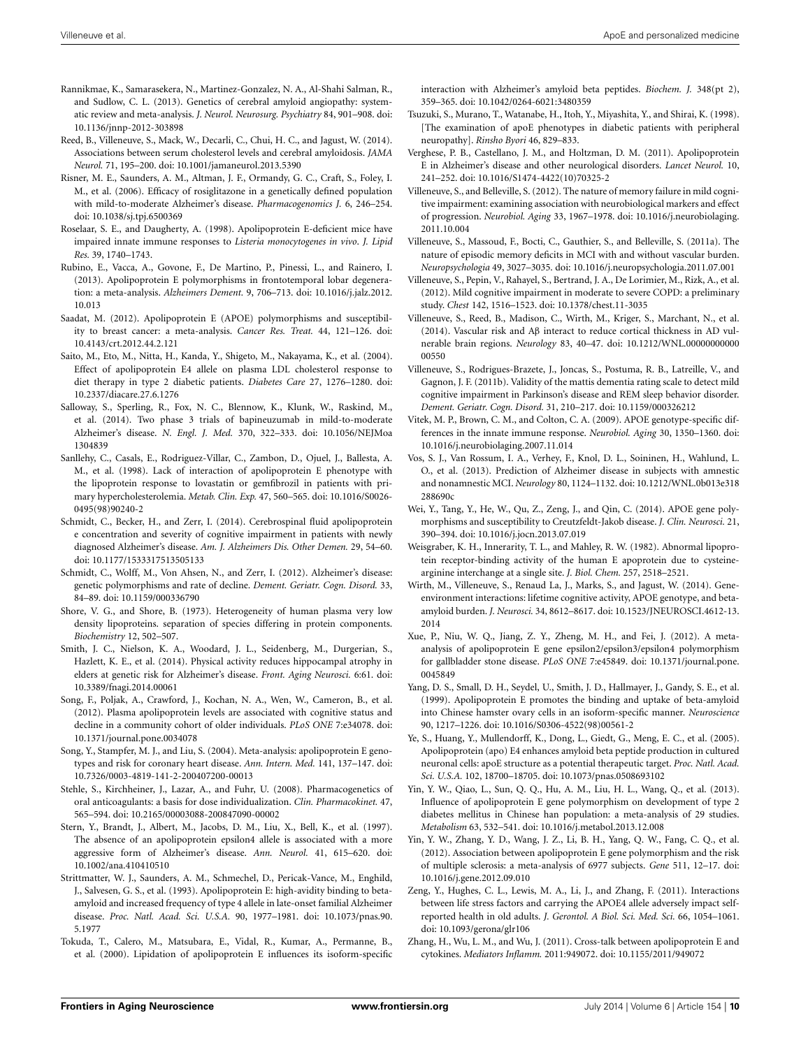- <span id="page-9-16"></span>Rannikmae, K., Samarasekera, N., Martinez-Gonzalez, N. A., Al-Shahi Salman, R., and Sudlow, C. L. (2013). Genetics of cerebral amyloid angiopathy: systematic review and meta-analysis. *J. Neurol. Neurosurg. Psychiatry* 84, 901–908. doi: 10.1136/jnnp-2012-303898
- <span id="page-9-36"></span>Reed, B., Villeneuve, S., Mack, W., Decarli, C., Chui, H. C., and Jagust, W. (2014). Associations between serum cholesterol levels and cerebral amyloidosis. *JAMA Neurol.* 71, 195–200. doi: 10.1001/jamaneurol.2013.5390
- <span id="page-9-34"></span>Risner, M. E., Saunders, A. M., Altman, J. F., Ormandy, G. C., Craft, S., Foley, I. M., et al. (2006). Efficacy of rosiglitazone in a genetically defined population with mild-to-moderate Alzheimer's disease. *Pharmacogenomics J.* 6, 246–254. doi: 10.1038/sj.tpj.6500369
- <span id="page-9-18"></span>Roselaar, S. E., and Daugherty, A. (1998). Apolipoprotein E-deficient mice have impaired innate immune responses to *Listeria monocytogenes in vivo*. *J. Lipid Res.* 39, 1740–1743.
- <span id="page-9-23"></span>Rubino, E., Vacca, A., Govone, F., De Martino, P., Pinessi, L., and Rainero, I. (2013). Apolipoprotein E polymorphisms in frontotemporal lobar degeneration: a meta-analysis. *Alzheimers Dement.* 9, 706–713. doi: 10.1016/j.jalz.2012. 10.013
- <span id="page-9-10"></span>Saadat, M. (2012). Apolipoprotein E (APOE) polymorphisms and susceptibility to breast cancer: a meta-analysis. *Cancer Res. Treat.* 44, 121–126. doi: 10.4143/crt.2012.44.2.121
- <span id="page-9-21"></span>Saito, M., Eto, M., Nitta, H., Kanda, Y., Shigeto, M., Nakayama, K., et al. (2004). Effect of apolipoprotein E4 allele on plasma LDL cholesterol response to diet therapy in type 2 diabetic patients. *Diabetes Care* 27, 1276–1280. doi: 10.2337/diacare.27.6.1276
- <span id="page-9-35"></span>Salloway, S., Sperling, R., Fox, N. C., Blennow, K., Klunk, W., Raskind, M., et al. (2014). Two phase 3 trials of bapineuzumab in mild-to-moderate Alzheimer's disease. *N. Engl. J. Med.* 370, 322–333. doi: 10.1056/NEJMoa 1304839
- <span id="page-9-33"></span>Sanllehy, C., Casals, E., Rodriguez-Villar, C., Zambon, D., Ojuel, J., Ballesta, A. M., et al. (1998). Lack of interaction of apolipoprotein E phenotype with the lipoprotein response to lovastatin or gemfibrozil in patients with primary hypercholesterolemia. *Metab. Clin. Exp.* 47, 560–565. doi: 10.1016/S0026- 0495(98)90240-2
- <span id="page-9-32"></span>Schmidt, C., Becker, H., and Zerr, I. (2014). Cerebrospinal fluid apolipoprotein e concentration and severity of cognitive impairment in patients with newly diagnosed Alzheimer's disease. *Am. J. Alzheimers Dis. Other Demen.* 29, 54–60. doi: 10.1177/1533317513505133
- <span id="page-9-25"></span>Schmidt, C., Wolff, M., Von Ahsen, N., and Zerr, I. (2012). Alzheimer's disease: genetic polymorphisms and rate of decline. *Dement. Geriatr. Cogn. Disord.* 33, 84–89. doi: 10.1159/000336790
- <span id="page-9-0"></span>Shore, V. G., and Shore, B. (1973). Heterogeneity of human plasma very low density lipoproteins. separation of species differing in protein components. *Biochemistry* 12, 502–507.
- <span id="page-9-13"></span>Smith, J. C., Nielson, K. A., Woodard, J. L., Seidenberg, M., Durgerian, S., Hazlett, K. E., et al. (2014). Physical activity reduces hippocampal atrophy in elders at genetic risk for Alzheimer's disease. *Front. Aging Neurosci.* 6:61. doi: 10.3389/fnagi.2014.00061
- <span id="page-9-31"></span>Song, F., Poljak, A., Crawford, J., Kochan, N. A., Wen, W., Cameron, B., et al. (2012). Plasma apolipoprotein levels are associated with cognitive status and decline in a community cohort of older individuals. *PLoS ONE* 7:e34078. doi: 10.1371/journal.pone.0034078
- <span id="page-9-4"></span>Song, Y., Stampfer, M. J., and Liu, S. (2004). Meta-analysis: apolipoprotein E genotypes and risk for coronary heart disease. *Ann. Intern. Med.* 141, 137–147. doi: 10.7326/0003-4819-141-2-200407200-00013
- <span id="page-9-15"></span>Stehle, S., Kirchheiner, J., Lazar, A., and Fuhr, U. (2008). Pharmacogenetics of oral anticoagulants: a basis for dose individualization. *Clin. Pharmacokinet.* 47, 565–594. doi: 10.2165/00003088-200847090-00002
- <span id="page-9-26"></span>Stern, Y., Brandt, J., Albert, M., Jacobs, D. M., Liu, X., Bell, K., et al. (1997). The absence of an apolipoprotein epsilon4 allele is associated with a more aggressive form of Alzheimer's disease. *Ann. Neurol.* 41, 615–620. doi: 10.1002/ana.410410510
- <span id="page-9-5"></span>Strittmatter, W. J., Saunders, A. M., Schmechel, D., Pericak-Vance, M., Enghild, J., Salvesen, G. S., et al. (1993). Apolipoprotein E: high-avidity binding to betaamyloid and increased frequency of type 4 allele in late-onset familial Alzheimer disease. *Proc. Natl. Acad. Sci. U.S.A.* 90, 1977–1981. doi: 10.1073/pnas.90. 5.1977
- <span id="page-9-8"></span>Tokuda, T., Calero, M., Matsubara, E., Vidal, R., Kumar, A., Permanne, B., et al. (2000). Lipidation of apolipoprotein E influences its isoform-specific

interaction with Alzheimer's amyloid beta peptides. *Biochem. J.* 348(pt 2), 359–365. doi: 10.1042/0264-6021:3480359

- <span id="page-9-20"></span>Tsuzuki, S., Murano, T., Watanabe, H., Itoh, Y., Miyashita, Y., and Shirai, K. (1998). [The examination of apoE phenotypes in diabetic patients with peripheral neuropathy]. *Rinsho Byori* 46, 829–833.
- <span id="page-9-1"></span>Verghese, P. B., Castellano, J. M., and Holtzman, D. M. (2011). Apolipoprotein E in Alzheimer's disease and other neurological disorders. *Lancet Neurol.* 10, 241–252. doi: 10.1016/S1474-4422(10)70325-2
- <span id="page-9-14"></span>Villeneuve, S., and Belleville, S. (2012). The nature of memory failure in mild cognitive impairment: examining association with neurobiological markers and effect of progression. *Neurobiol. Aging* 33, 1967–1978. doi: 10.1016/j.neurobiolaging. 2011.10.004
- <span id="page-9-28"></span>Villeneuve, S., Massoud, F., Bocti, C., Gauthier, S., and Belleville, S. (2011a). The nature of episodic memory deficits in MCI with and without vascular burden. *Neuropsychologia* 49, 3027–3035. doi: 10.1016/j.neuropsychologia.2011.07.001
- <span id="page-9-30"></span>Villeneuve, S., Pepin, V., Rahayel, S., Bertrand, J. A., De Lorimier, M., Rizk, A., et al. (2012). Mild cognitive impairment in moderate to severe COPD: a preliminary study. *Chest* 142, 1516–1523. doi: 10.1378/chest.11-3035
- <span id="page-9-37"></span>Villeneuve, S., Reed, B., Madison, C., Wirth, M., Kriger, S., Marchant, N., et al. (2014). Vascular risk and Aβ interact to reduce cortical thickness in AD vulnerable brain regions. *Neurology* 83, 40–47. doi: 10.1212/WNL.00000000000 00550
- <span id="page-9-29"></span>Villeneuve, S., Rodrigues-Brazete, J., Joncas, S., Postuma, R. B., Latreille, V., and Gagnon, J. F. (2011b). Validity of the mattis dementia rating scale to detect mild cognitive impairment in Parkinson's disease and REM sleep behavior disorder. *Dement. Geriatr. Cogn. Disord.* 31, 210–217. doi: 10.1159/000326212
- <span id="page-9-19"></span>Vitek, M. P., Brown, C. M., and Colton, C. A. (2009). APOE genotype-specific differences in the innate immune response. *Neurobiol. Aging* 30, 1350–1360. doi: 10.1016/j.neurobiolaging.2007.11.014
- <span id="page-9-27"></span>Vos, S. J., Van Rossum, I. A., Verhey, F., Knol, D. L., Soininen, H., Wahlund, L. O., et al. (2013). Prediction of Alzheimer disease in subjects with amnestic and nonamnestic MCI. *Neurology* 80, 1124–1132. doi: 10.1212/WNL.0b013e318 288690c
- <span id="page-9-9"></span>Wei, Y., Tang, Y., He, W., Qu, Z., Zeng, J., and Qin, C. (2014). APOE gene polymorphisms and susceptibility to Creutzfeldt-Jakob disease. *J. Clin. Neurosci.* 21, 390–394. doi: 10.1016/j.jocn.2013.07.019
- <span id="page-9-2"></span>Weisgraber, K. H., Innerarity, T. L., and Mahley, R. W. (1982). Abnormal lipoprotein receptor-binding activity of the human E apoprotein due to cysteinearginine interchange at a single site. *J. Biol. Chem.* 257, 2518–2521.
- <span id="page-9-24"></span>Wirth, M., Villeneuve, S., Renaud La, J., Marks, S., and Jagust, W. (2014). Geneenvironment interactions: lifetime cognitive activity, APOE genotype, and betaamyloid burden. *J. Neurosci.* 34, 8612–8617. doi: 10.1523/JNEUROSCI.4612-13. 2014
- <span id="page-9-11"></span>Xue, P., Niu, W. Q., Jiang, Z. Y., Zheng, M. H., and Fei, J. (2012). A metaanalysis of apolipoprotein E gene epsilon2/epsilon3/epsilon4 polymorphism for gallbladder stone disease. *PLoS ONE* 7:e45849. doi: 10.1371/journal.pone. 0045849
- <span id="page-9-7"></span>Yang, D. S., Small, D. H., Seydel, U., Smith, J. D., Hallmayer, J., Gandy, S. E., et al. (1999). Apolipoprotein E promotes the binding and uptake of beta-amyloid into Chinese hamster ovary cells in an isoform-specific manner. *Neuroscience* 90, 1217–1226. doi: 10.1016/S0306-4522(98)00561-2
- <span id="page-9-6"></span>Ye, S., Huang, Y., Mullendorff, K., Dong, L., Giedt, G., Meng, E. C., et al. (2005). Apolipoprotein (apo) E4 enhances amyloid beta peptide production in cultured neuronal cells: apoE structure as a potential therapeutic target. *Proc. Natl. Acad. Sci. U.S.A.* 102, 18700–18705. doi: 10.1073/pnas.0508693102
- <span id="page-9-22"></span>Yin, Y. W., Qiao, L., Sun, Q. Q., Hu, A. M., Liu, H. L., Wang, Q., et al. (2013). Influence of apolipoprotein E gene polymorphism on development of type 2 diabetes mellitus in Chinese han population: a meta-analysis of 29 studies. *Metabolism* 63, 532–541. doi: 10.1016/j.metabol.2013.12.008
- <span id="page-9-17"></span>Yin, Y. W., Zhang, Y. D., Wang, J. Z., Li, B. H., Yang, Q. W., Fang, C. Q., et al. (2012). Association between apolipoprotein E gene polymorphism and the risk of multiple sclerosis: a meta-analysis of 6977 subjects. *Gene* 511, 12–17. doi: 10.1016/j.gene.2012.09.010
- <span id="page-9-12"></span>Zeng, Y., Hughes, C. L., Lewis, M. A., Li, J., and Zhang, F. (2011). Interactions between life stress factors and carrying the APOE4 allele adversely impact selfreported health in old adults. *J. Gerontol. A Biol. Sci. Med. Sci.* 66, 1054–1061. doi: 10.1093/gerona/glr106
- <span id="page-9-3"></span>Zhang, H., Wu, L. M., and Wu, J. (2011). Cross-talk between apolipoprotein E and cytokines. *Mediators Inflamm.* 2011:949072. doi: 10.1155/2011/949072